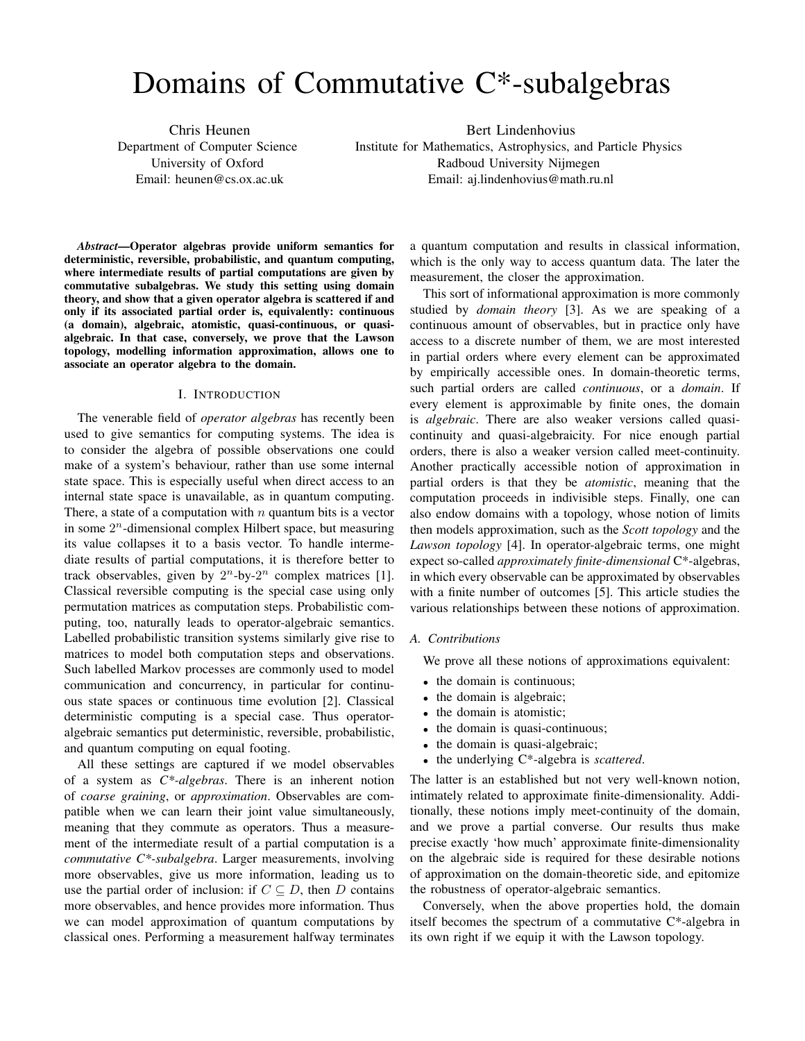# Domains of Commutative C\*-subalgebras

Chris Heunen Department of Computer Science University of Oxford Email: heunen@cs.ox.ac.uk

Bert Lindenhovius Institute for Mathematics, Astrophysics, and Particle Physics Radboud University Nijmegen Email: aj.lindenhovius@math.ru.nl

*Abstract*—Operator algebras provide uniform semantics for deterministic, reversible, probabilistic, and quantum computing, where intermediate results of partial computations are given by commutative subalgebras. We study this setting using domain theory, and show that a given operator algebra is scattered if and only if its associated partial order is, equivalently: continuous (a domain), algebraic, atomistic, quasi-continuous, or quasialgebraic. In that case, conversely, we prove that the Lawson topology, modelling information approximation, allows one to associate an operator algebra to the domain.

#### I. INTRODUCTION

The venerable field of *operator algebras* has recently been used to give semantics for computing systems. The idea is to consider the algebra of possible observations one could make of a system's behaviour, rather than use some internal state space. This is especially useful when direct access to an internal state space is unavailable, as in quantum computing. There, a state of a computation with  $n$  quantum bits is a vector in some  $2^n$ -dimensional complex Hilbert space, but measuring its value collapses it to a basis vector. To handle intermediate results of partial computations, it is therefore better to track observables, given by  $2^n$ -by- $2^n$  complex matrices [1]. Classical reversible computing is the special case using only permutation matrices as computation steps. Probabilistic computing, too, naturally leads to operator-algebraic semantics. Labelled probabilistic transition systems similarly give rise to matrices to model both computation steps and observations. Such labelled Markov processes are commonly used to model communication and concurrency, in particular for continuous state spaces or continuous time evolution [2]. Classical deterministic computing is a special case. Thus operatoralgebraic semantics put deterministic, reversible, probabilistic, and quantum computing on equal footing.

All these settings are captured if we model observables of a system as *C\*-algebras*. There is an inherent notion of *coarse graining*, or *approximation*. Observables are compatible when we can learn their joint value simultaneously, meaning that they commute as operators. Thus a measurement of the intermediate result of a partial computation is a *commutative C\*-subalgebra*. Larger measurements, involving more observables, give us more information, leading us to use the partial order of inclusion: if  $C \subseteq D$ , then D contains more observables, and hence provides more information. Thus we can model approximation of quantum computations by classical ones. Performing a measurement halfway terminates

a quantum computation and results in classical information, which is the only way to access quantum data. The later the measurement, the closer the approximation.

This sort of informational approximation is more commonly studied by *domain theory* [3]. As we are speaking of a continuous amount of observables, but in practice only have access to a discrete number of them, we are most interested in partial orders where every element can be approximated by empirically accessible ones. In domain-theoretic terms, such partial orders are called *continuous*, or a *domain*. If every element is approximable by finite ones, the domain is *algebraic*. There are also weaker versions called quasicontinuity and quasi-algebraicity. For nice enough partial orders, there is also a weaker version called meet-continuity. Another practically accessible notion of approximation in partial orders is that they be *atomistic*, meaning that the computation proceeds in indivisible steps. Finally, one can also endow domains with a topology, whose notion of limits then models approximation, such as the *Scott topology* and the *Lawson topology* [4]. In operator-algebraic terms, one might expect so-called *approximately finite-dimensional* C\*-algebras, in which every observable can be approximated by observables with a finite number of outcomes [5]. This article studies the various relationships between these notions of approximation.

#### *A. Contributions*

We prove all these notions of approximations equivalent:

- the domain is continuous;
- the domain is algebraic;
- the domain is atomistic;
- the domain is quasi-continuous;
- the domain is quasi-algebraic;
- the underlying C\*-algebra is *scattered*.

The latter is an established but not very well-known notion, intimately related to approximate finite-dimensionality. Additionally, these notions imply meet-continuity of the domain, and we prove a partial converse. Our results thus make precise exactly 'how much' approximate finite-dimensionality on the algebraic side is required for these desirable notions of approximation on the domain-theoretic side, and epitomize the robustness of operator-algebraic semantics.

Conversely, when the above properties hold, the domain itself becomes the spectrum of a commutative C\*-algebra in its own right if we equip it with the Lawson topology.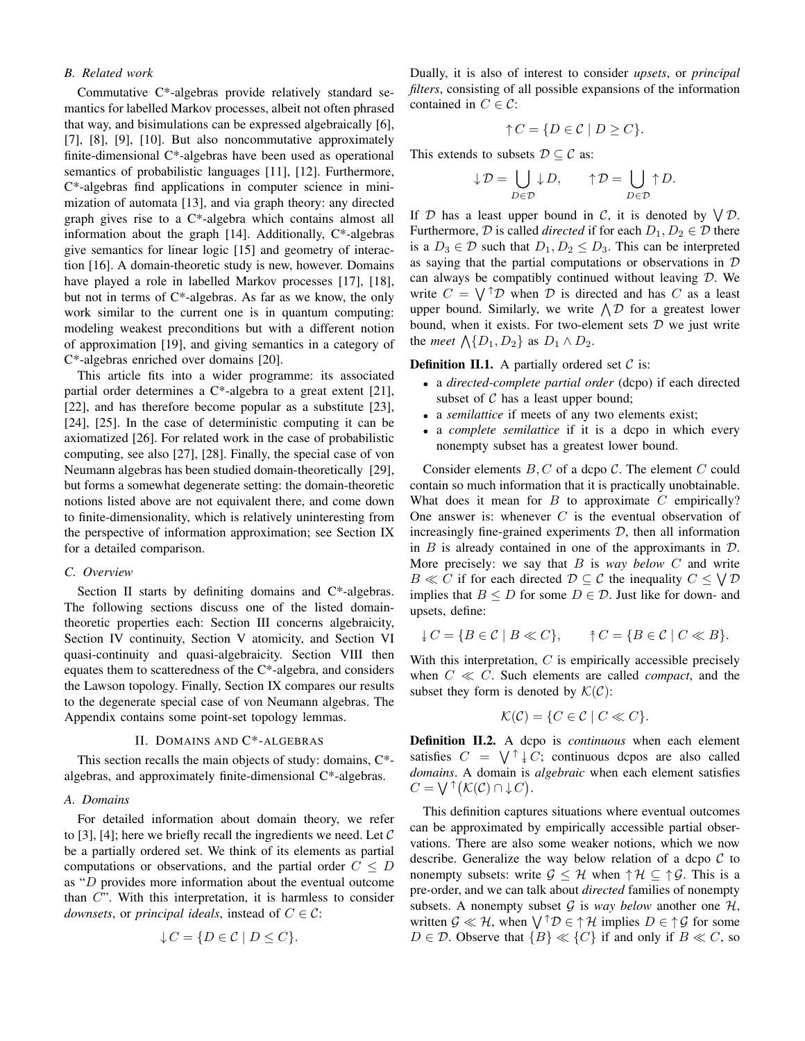# *B. Related work*

Commutative C\*-algebras provide relatively standard semantics for labelled Markov processes, albeit not often phrased that way, and bisimulations can be expressed algebraically [6], [7], [8], [9], [10]. But also noncommutative approximately finite-dimensional C\*-algebras have been used as operational semantics of probabilistic languages [11], [12]. Furthermore, C\*-algebras find applications in computer science in minimization of automata [13], and via graph theory: any directed graph gives rise to a C\*-algebra which contains almost all information about the graph [14]. Additionally, C\*-algebras give semantics for linear logic [15] and geometry of interaction [16]. A domain-theoretic study is new, however. Domains have played a role in labelled Markov processes [17], [18], but not in terms of C\*-algebras. As far as we know, the only work similar to the current one is in quantum computing: modeling weakest preconditions but with a different notion of approximation [19], and giving semantics in a category of C\*-algebras enriched over domains [20].

This article fits into a wider programme: its associated partial order determines a C\*-algebra to a great extent [21], [22], and has therefore become popular as a substitute [23], [24], [25]. In the case of deterministic computing it can be axiomatized [26]. For related work in the case of probabilistic computing, see also [27], [28]. Finally, the special case of von Neumann algebras has been studied domain-theoretically [29], but forms a somewhat degenerate setting: the domain-theoretic notions listed above are not equivalent there, and come down to finite-dimensionality, which is relatively uninteresting from the perspective of information approximation; see Section IX for a detailed comparison.

## *C. Overview*

Section II starts by definiting domains and C\*-algebras. The following sections discuss one of the listed domaintheoretic properties each: Section III concerns algebraicity, Section IV continuity, Section V atomicity, and Section VI quasi-continuity and quasi-algebraicity. Section VIII then equates them to scatteredness of the C\*-algebra, and considers the Lawson topology. Finally, Section IX compares our results to the degenerate special case of von Neumann algebras. The Appendix contains some point-set topology lemmas.

## II. DOMAINS AND C\*-ALGEBRAS

This section recalls the main objects of study: domains, C\* algebras, and approximately finite-dimensional C\*-algebras.

## *A. Domains*

For detailed information about domain theory, we refer to [3], [4]; here we briefly recall the ingredients we need. Let  $\mathcal C$ be a partially ordered set. We think of its elements as partial computations or observations, and the partial order  $C \leq D$ as "D provides more information about the eventual outcome than C". With this interpretation, it is harmless to consider *downsets*, or *principal ideals*, instead of  $C \in \mathcal{C}$ :

$$
\downarrow C = \{ D \in \mathcal{C} \mid D \le C \}.
$$

Dually, it is also of interest to consider *upsets*, or *principal filters*, consisting of all possible expansions of the information contained in  $C \in \mathcal{C}$ :

$$
\uparrow C = \{ D \in \mathcal{C} \mid D \ge C \}.
$$

This extends to subsets  $\mathcal{D} \subseteq \mathcal{C}$  as:

$$
{\downarrow\cal D}=\bigcup_{D\in{\cal D}}{\downarrow\cal D},\qquad{\uparrow\cal D}=\bigcup_{D\in{\cal D}}{\uparrow\cal D}.
$$

If D has a least upper bound in C, it is denoted by  $\bigvee \mathcal{D}$ . Furthermore,  $D$  is called *directed* if for each  $D_1, D_2 \in \mathcal{D}$  there is a  $D_3 \in \mathcal{D}$  such that  $D_1, D_2 \leq D_3$ . This can be interpreted as saying that the partial computations or observations in D can always be compatibly continued without leaving D. We write  $C = \bigvee^{\uparrow} \mathcal{D}$  when  $\mathcal{D}$  is directed and has C as a least upper bound. Similarly, we write  $\bigwedge \mathcal{D}$  for a greatest lower bound, when it exists. For two-element sets  $D$  we just write the *meet*  $\Lambda$ { $D_1, D_2$ } as  $D_1 \wedge D_2$ .

**Definition II.1.** A partially ordered set  $C$  is:

- a *directed-complete partial order* (dcpo) if each directed subset of  $C$  has a least upper bound;
- a *semilattice* if meets of any two elements exist;
- a *complete semilattice* if it is a dcpo in which every nonempty subset has a greatest lower bound.

Consider elements  $B, C$  of a dcpo  $C$ . The element  $C$  could contain so much information that it is practically unobtainable. What does it mean for  $B$  to approximate  $C$  empirically? One answer is: whenever  $C$  is the eventual observation of increasingly fine-grained experiments  $D$ , then all information in  $B$  is already contained in one of the approximants in  $D$ . More precisely: we say that B is *way below* C and write  $B \ll C$  if for each directed  $D \subseteq C$  the inequality  $C \leq \bigvee D$ implies that  $B \leq D$  for some  $D \in \mathcal{D}$ . Just like for down- and upsets, define:

$$
\downarrow C = \{ B \in \mathcal{C} \mid B \ll C \}, \qquad \uparrow C = \{ B \in \mathcal{C} \mid C \ll B \}.
$$

With this interpretation,  $C$  is empirically accessible precisely when  $C \ll C$ . Such elements are called *compact*, and the subset they form is denoted by  $\mathcal{K}(\mathcal{C})$ :

$$
\mathcal{K}(\mathcal{C}) = \{ C \in \mathcal{C} \mid C \ll C \}.
$$

Definition II.2. A dcpo is *continuous* when each element satisfies  $C = \bigvee^{\uparrow} \downarrow C$ ; continuous dcpos are also called *domains*. A domain is *algebraic* when each element satisfies  $C = \bigvee^{\uparrow} (\mathcal{K}(\mathcal{C}) \cap {\downarrow} C).$ 

This definition captures situations where eventual outcomes can be approximated by empirically accessible partial observations. There are also some weaker notions, which we now describe. Generalize the way below relation of a dcpo  $C$  to nonempty subsets: write  $\mathcal{G} \leq \mathcal{H}$  when  $\uparrow \mathcal{H} \subseteq \uparrow \mathcal{G}$ . This is a pre-order, and we can talk about *directed* families of nonempty subsets. A nonempty subset  $G$  is *way below* another one  $H$ , written  $\mathcal{G} \ll \mathcal{H}$ , when  $\bigvee^{\uparrow} \mathcal{D} \in \uparrow \mathcal{H}$  implies  $D \in \uparrow \mathcal{G}$  for some  $D \in \mathcal{D}$ . Observe that  $\{B\} \ll \{C\}$  if and only if  $B \ll C$ , so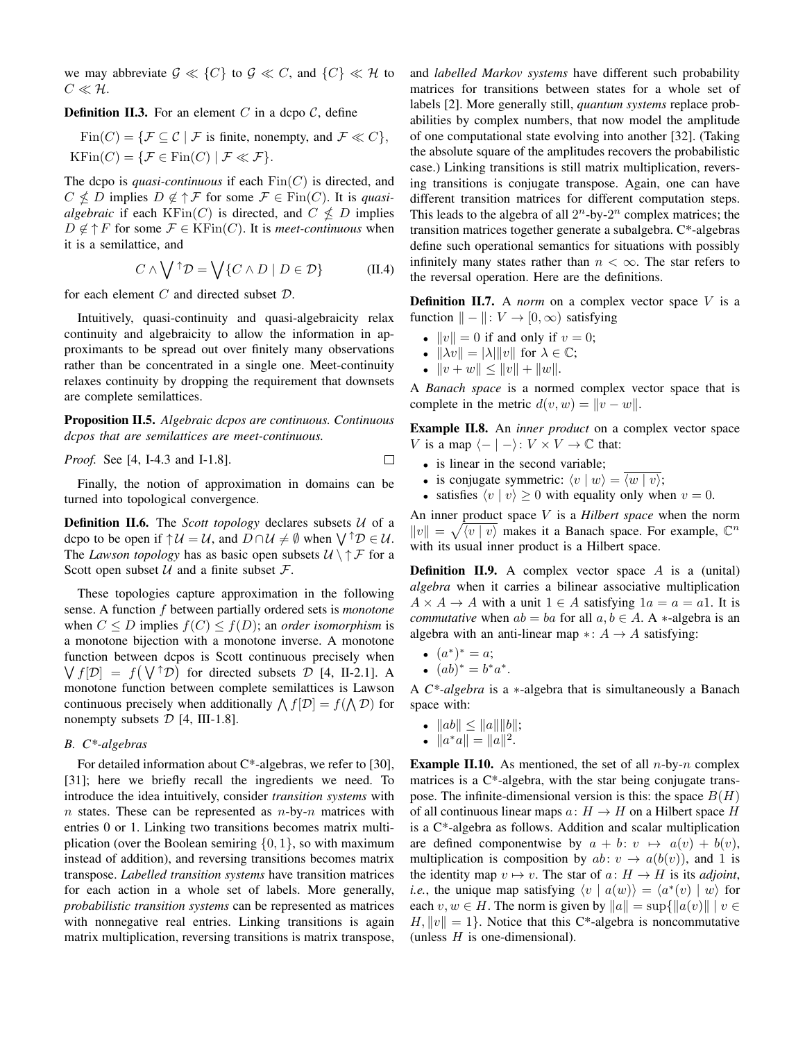we may abbreviate  $\mathcal{G} \ll \{C\}$  to  $\mathcal{G} \ll C$ , and  $\{C\} \ll \mathcal{H}$  to  $C \ll H$ .

**Definition II.3.** For an element C in a dcpo  $\mathcal{C}$ , define

 $Fin(C) = \{ \mathcal{F} \subseteq \mathcal{C} \mid \mathcal{F} \text{ is finite, nonempty, and } \mathcal{F} \ll C \},$  $KFin(C) = \{ \mathcal{F} \in Fin(C) \mid \mathcal{F} \ll \mathcal{F} \}.$ 

The dcpo is *quasi-continuous* if each  $\text{Fin}(C)$  is directed, and  $C \nleq D$  implies  $D \notin \uparrow \mathcal{F}$  for some  $\mathcal{F} \in \text{Fin}(C)$ . It is *quasialgebraic* if each  $KFin(C)$  is directed, and  $C \nleq D$  implies  $D \notin \uparrow F$  for some  $\mathcal{F} \in \mathrm{KFin}(C)$ . It is *meet-continuous* when it is a semilattice, and

$$
C \wedge \bigvee^{\uparrow} \mathcal{D} = \bigvee \{ C \wedge D \mid D \in \mathcal{D} \} \tag{II.4}
$$

for each element  $C$  and directed subset  $D$ .

Intuitively, quasi-continuity and quasi-algebraicity relax continuity and algebraicity to allow the information in approximants to be spread out over finitely many observations rather than be concentrated in a single one. Meet-continuity relaxes continuity by dropping the requirement that downsets are complete semilattices.

Proposition II.5. *Algebraic dcpos are continuous. Continuous dcpos that are semilattices are meet-continuous.*

*Proof.* See [4, I-4.3 and I-1.8].

Finally, the notion of approximation in domains can be turned into topological convergence.

**Definition II.6.** The *Scott topology* declares subsets U of a dcpo to be open if  $\uparrow \mathcal{U} = \mathcal{U}$ , and  $D \cap \mathcal{U} \neq \emptyset$  when  $\bigvee \uparrow \mathcal{D} \in \mathcal{U}$ . The *Lawson topology* has as basic open subsets  $U \ \uparrow \mathcal{F}$  for a Scott open subset  $U$  and a finite subset  $\mathcal{F}$ .

These topologies capture approximation in the following sense. A function f between partially ordered sets is *monotone* when  $C \leq D$  implies  $f(C) \leq f(D)$ ; an *order isomorphism* is a monotone bijection with a monotone inverse. A monotone function between dcpos is Scott continuous precisely when  $\bigvee f[\mathcal{D}] = f(\bigvee \uparrow \mathcal{D})$  for directed subsets  $\mathcal{D}$  [4, II-2.1]. A monotone function between complete semilattices is Lawson continuous precisely when additionally  $\bigwedge f[\mathcal{D}] = f(\bigwedge \mathcal{D})$  for nonempty subsets  $D$  [4, III-1.8].

# *B. C\*-algebras*

For detailed information about C\*-algebras, we refer to [30], [31]; here we briefly recall the ingredients we need. To introduce the idea intuitively, consider *transition systems* with  $n$  states. These can be represented as  $n$ -by- $n$  matrices with entries 0 or 1. Linking two transitions becomes matrix multiplication (over the Boolean semiring  $\{0, 1\}$ , so with maximum instead of addition), and reversing transitions becomes matrix transpose. *Labelled transition systems* have transition matrices for each action in a whole set of labels. More generally, *probabilistic transition systems* can be represented as matrices with nonnegative real entries. Linking transitions is again matrix multiplication, reversing transitions is matrix transpose,

and *labelled Markov systems* have different such probability matrices for transitions between states for a whole set of labels [2]. More generally still, *quantum systems* replace probabilities by complex numbers, that now model the amplitude of one computational state evolving into another [32]. (Taking the absolute square of the amplitudes recovers the probabilistic case.) Linking transitions is still matrix multiplication, reversing transitions is conjugate transpose. Again, one can have different transition matrices for different computation steps. This leads to the algebra of all  $2^n$ -by- $2^n$  complex matrices; the transition matrices together generate a subalgebra. C\*-algebras define such operational semantics for situations with possibly infinitely many states rather than  $n < \infty$ . The star refers to the reversal operation. Here are the definitions.

**Definition II.7.** A *norm* on a complex vector space V is a function  $\| - \|: V \to [0, \infty)$  satisfying

- $||v|| = 0$  if and only if  $v = 0$ ;
- $\|\lambda v\| = |\lambda| \|v\|$  for  $\lambda \in \mathbb{C}$ ;
- $||v + w|| \le ||v|| + ||w||.$

A *Banach space* is a normed complex vector space that is complete in the metric  $d(v, w) = ||v - w||$ .

Example II.8. An *inner product* on a complex vector space V is a map  $\langle - | - \rangle: V \times V \to \mathbb{C}$  that:

- is linear in the second variable;
- is conjugate symmetric:  $\langle v | w \rangle = \langle w | v \rangle$ ;
- satisfies  $\langle v | v \rangle \ge 0$  with equality only when  $v = 0$ .

An inner product space V is a *Hilbert space* when the norm  $||v|| = \sqrt{\langle v | v \rangle}$  makes it a Banach space. For example,  $\mathbb{C}^n$ with its usual inner product is a Hilbert space.

**Definition II.9.** A complex vector space  $A$  is a (unital) *algebra* when it carries a bilinear associative multiplication  $A \times A \rightarrow A$  with a unit  $1 \in A$  satisfying  $1a = a = a1$ . It is *commutative* when  $ab = ba$  for all  $a, b \in A$ . A  $\ast$ -algebra is an algebra with an anti-linear map ∗:  $A \rightarrow A$  satisfying:

- $(a^*)^* = a;$
- $(ab)^* = b^*a^*$ .

A *C\*-algebra* is a ∗-algebra that is simultaneously a Banach space with:

- $||ab|| \le ||a|| ||b||;$
- $||a^*a|| = ||a||^2$ .

**Example II.10.** As mentioned, the set of all  $n$ -by- $n$  complex matrices is a C\*-algebra, with the star being conjugate transpose. The infinite-dimensional version is this: the space  $B(H)$ of all continuous linear maps  $a: H \to H$  on a Hilbert space H is a C\*-algebra as follows. Addition and scalar multiplication are defined componentwise by  $a + b : v \mapsto a(v) + b(v)$ , multiplication is composition by  $ab: v \rightarrow a(b(v))$ , and 1 is the identity map  $v \mapsto v$ . The star of  $a: H \to H$  is its *adjoint*, *i.e.*, the unique map satisfying  $\langle v | a(w) \rangle = \langle a^*(v) | w \rangle$  for each  $v, w \in H$ . The norm is given by  $||a|| = \sup{||a(v)||}$   $|v \in$  $H, ||v|| = 1$ . Notice that this C\*-algebra is noncommutative (unless  $H$  is one-dimensional).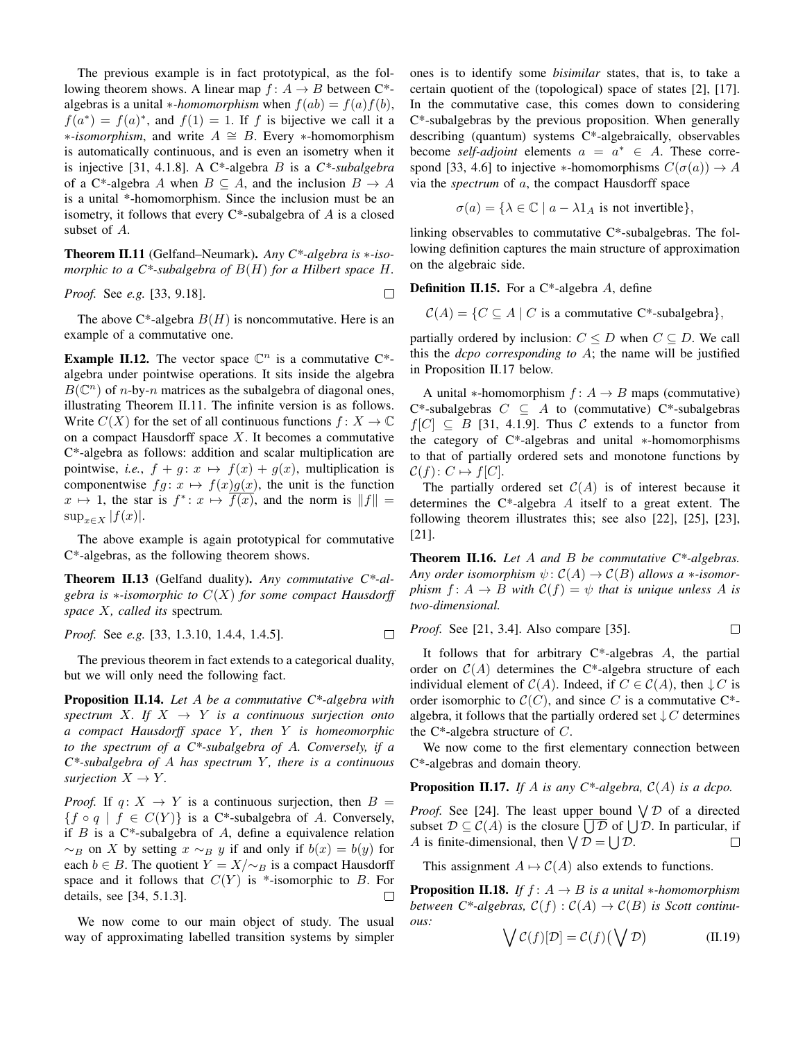The previous example is in fact prototypical, as the following theorem shows. A linear map  $f: A \rightarrow B$  between C\*algebras is a unital *∗-homomorphism* when  $f(ab) = f(a)f(b)$ ,  $f(a^*) = f(a)^*$ , and  $f(1) = 1$ . If f is bijective we call it a ∗*-isomorphism*, and write A ∼= B. Every ∗-homomorphism is automatically continuous, and is even an isometry when it is injective [31, 4.1.8]. A C\*-algebra B is a *C\*-subalgebra* of a C\*-algebra A when  $B \subseteq A$ , and the inclusion  $B \to A$ is a unital \*-homomorphism. Since the inclusion must be an isometry, it follows that every  $C^*$ -subalgebra of A is a closed subset of A.

Theorem II.11 (Gelfand–Neumark). *Any C\*-algebra is* ∗*-isomorphic to a C\*-subalgebra of* B(H) *for a Hilbert space* H*.*

*Proof.* See *e.g.* [33, 9.18].

The above C\*-algebra  $B(H)$  is noncommutative. Here is an example of a commutative one.

**Example II.12.** The vector space  $\mathbb{C}^n$  is a commutative  $C^*$ algebra under pointwise operations. It sits inside the algebra  $B(\mathbb{C}^n)$  of *n*-by-*n* matrices as the subalgebra of diagonal ones, illustrating Theorem II.11. The infinite version is as follows. Write  $C(X)$  for the set of all continuous functions  $f: X \to \mathbb{C}$ on a compact Hausdorff space  $X$ . It becomes a commutative C\*-algebra as follows: addition and scalar multiplication are pointwise, *i.e.*,  $f + g: x \mapsto f(x) + g(x)$ , multiplication is componentwise  $fg: x \mapsto f(x)g(x)$ , the unit is the function  $x \mapsto 1$ , the star is  $f^* \colon x \mapsto \overline{f(x)}$ , and the norm is  $||f|| =$  $\sup_{x\in X} |f(x)|$ .

The above example is again prototypical for commutative C\*-algebras, as the following theorem shows.

Theorem II.13 (Gelfand duality). *Any commutative C\*-algebra is* ∗*-isomorphic to* C(X) *for some compact Hausdorff space* X*, called its* spectrum*.*

*Proof.* See *e.g.* [33, 1.3.10, 1.4.4, 1.4.5].  $\Box$ 

The previous theorem in fact extends to a categorical duality, but we will only need the following fact.

Proposition II.14. *Let* A *be a commutative C\*-algebra with* spectrum X. If  $X \rightarrow Y$  is a continuous surjection onto *a compact Hausdorff space* Y *, then* Y *is homeomorphic to the spectrum of a C\*-subalgebra of* A*. Conversely, if a C\*-subalgebra of* A *has spectrum* Y *, there is a continuous surjection*  $X \to Y$ *.* 

*Proof.* If  $q: X \rightarrow Y$  is a continuous surjection, then  $B =$  ${f \circ q \mid f \in C(Y)}$  is a C\*-subalgebra of A. Conversely, if  $B$  is a C\*-subalgebra of  $A$ , define a equivalence relation  $\sim_B$  on X by setting  $x \sim_B y$  if and only if  $b(x) = b(y)$  for each  $b \in B$ . The quotient  $Y = X/\sim_B$  is a compact Hausdorff space and it follows that  $C(Y)$  is \*-isomorphic to B. For details, see [34, 5.1.3]. □

We now come to our main object of study. The usual way of approximating labelled transition systems by simpler ones is to identify some *bisimilar* states, that is, to take a certain quotient of the (topological) space of states [2], [17]. In the commutative case, this comes down to considering C\*-subalgebras by the previous proposition. When generally describing (quantum) systems C\*-algebraically, observables become *self-adjoint* elements  $a = a^* \in A$ . These correspond [33, 4.6] to injective ∗-homomorphisms  $C(\sigma(a)) \to A$ via the *spectrum* of a, the compact Hausdorff space

$$
\sigma(a) = \{ \lambda \in \mathbb{C} \mid a - \lambda 1_A \text{ is not invertible} \},
$$

linking observables to commutative C\*-subalgebras. The following definition captures the main structure of approximation on the algebraic side.

**Definition II.15.** For a  $C^*$ -algebra A, define

 $C(A) = \{C \subseteq A \mid C \text{ is a commutative } C^* \text{-subalgebra} \},\$ 

partially ordered by inclusion:  $C \leq D$  when  $C \subseteq D$ . We call this the *dcpo corresponding to* A; the name will be justified in Proposition II.17 below.

A unital  $*$ -homomorphism  $f: A \rightarrow B$  maps (commutative) C\*-subalgebras  $C \subseteq A$  to (commutative) C\*-subalgebras  $f[C] \subseteq B$  [31, 4.1.9]. Thus C extends to a functor from the category of C\*-algebras and unital ∗-homomorphisms to that of partially ordered sets and monotone functions by  $C(f): C \mapsto f[C].$ 

The partially ordered set  $C(A)$  is of interest because it determines the  $C^*$ -algebra A itself to a great extent. The following theorem illustrates this; see also [22], [25], [23], [21].

Theorem II.16. *Let* A *and* B *be commutative C\*-algebras. Any order isomorphism*  $\psi$ :  $C(A) \rightarrow C(B)$  *allows a* \**-isomorphism*  $f: A \rightarrow B$  *with*  $C(f) = \psi$  *that is unique unless* A *is two-dimensional.*

*Proof.* See [21, 3.4]. Also compare [35]. 
$$
\square
$$

It follows that for arbitrary  $C^*$ -algebras  $A$ , the partial order on  $C(A)$  determines the C<sup>\*</sup>-algebra structure of each individual element of  $C(A)$ . Indeed, if  $C \in C(A)$ , then  $\downarrow C$  is order isomorphic to  $\mathcal{C}(C)$ , and since C is a commutative C<sup>\*</sup>algebra, it follows that the partially ordered set  $\downarrow$  C determines the  $C^*$ -algebra structure of  $C$ .

We now come to the first elementary connection between C\*-algebras and domain theory.

Proposition II.17. *If* A *is any C\*-algebra,* C(A) *is a dcpo.*

*Proof.* See [24]. The least upper bound  $\bigvee \mathcal{D}$  of a directed subset  $\mathcal{D} \subseteq \mathcal{C}(A)$  is the closure  $\bigcup \mathcal{D}$  of  $\bigcup \mathcal{D}$ . In particular, if A is finite-dimensional, then  $\bigvee \mathcal{D} = \bigcup \mathcal{D}$ .  $\Box$ 

This assignment  $A \mapsto C(A)$  also extends to functions.

**Proposition II.18.** *If*  $f: A \rightarrow B$  *is a unital* \**-homomorphism between*  $C^*$ -*algebras,*  $C(f)$ :  $C(A)$   $\rightarrow$   $C(B)$  *is Scott continuous:*

$$
\bigvee \mathcal{C}(f)[\mathcal{D}] = \mathcal{C}(f)\big(\bigvee \mathcal{D}\big) \tag{II.19}
$$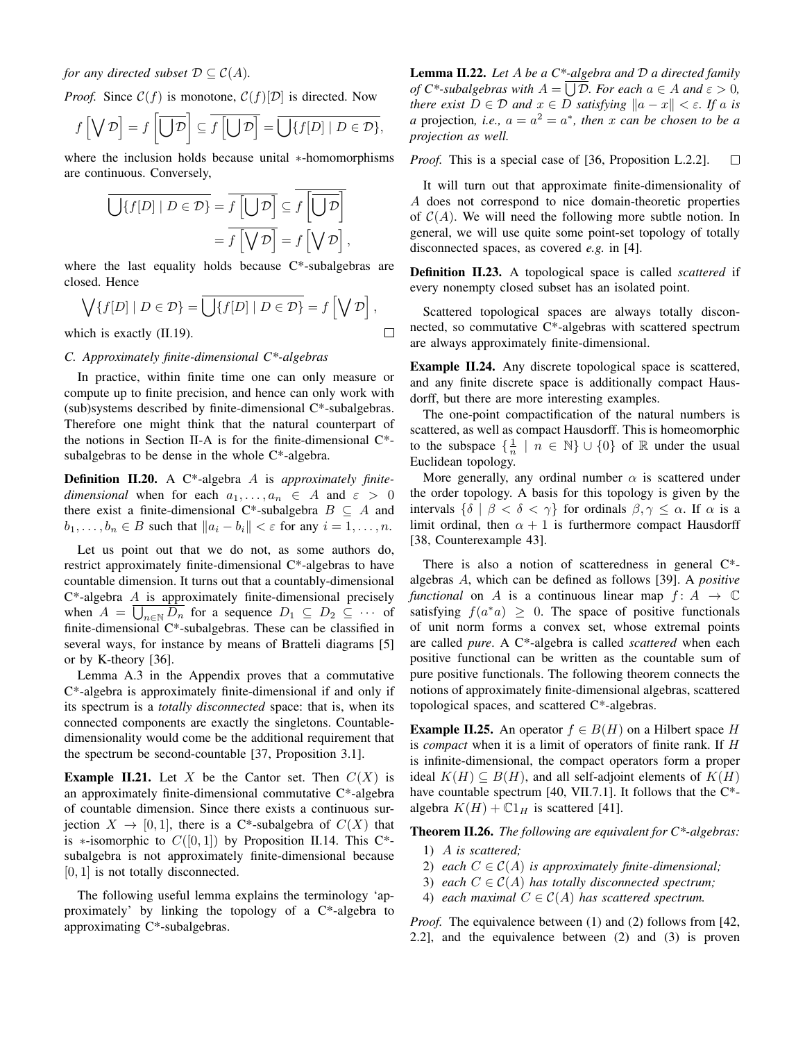*for any directed subset*  $\mathcal{D} \subseteq \mathcal{C}(A)$ *.* 

*Proof.* Since  $C(f)$  is monotone,  $C(f)[D]$  is directed. Now

$$
f\left[\bigvee \mathcal{D}\right] = f\left[\overline{\bigcup \mathcal{D}}\right] \subseteq \overline{f\left[\bigcup \mathcal{D}\right]} = \overline{\bigcup\{f[D] \mid D \in \mathcal{D}\}},
$$

where the inclusion holds because unital ∗-homomorphisms are continuous. Conversely,

$$
\overline{\bigcup \{f[D] \mid D \in \mathcal{D}\}} = \overline{f\left[\bigcup \mathcal{D}\right]} \subseteq \overline{f\left[\bigcup \mathcal{D}\right]}
$$

$$
= \overline{f\left[\bigvee \mathcal{D}\right]} = f\left[\bigvee \mathcal{D}\right],
$$

where the last equality holds because  $C^*$ -subalgebras are closed. Hence

$$
\bigvee \{f[D] \mid D \in \mathcal{D}\} = \overline{\bigcup \{f[D] \mid D \in \mathcal{D}\}} = f\left[\bigvee \mathcal{D}\right],
$$
  
which is exactly (II.19).

which is exactly (II.19).

# *C. Approximately finite-dimensional C\*-algebras*

In practice, within finite time one can only measure or compute up to finite precision, and hence can only work with (sub)systems described by finite-dimensional C\*-subalgebras. Therefore one might think that the natural counterpart of the notions in Section II-A is for the finite-dimensional C\* subalgebras to be dense in the whole C\*-algebra.

Definition II.20. A C\*-algebra A is *approximately finitedimensional* when for each  $a_1, \ldots, a_n \in A$  and  $\varepsilon > 0$ there exist a finite-dimensional C\*-subalgebra  $B \subseteq A$  and  $b_1, \ldots, b_n \in B$  such that  $||a_i - b_i|| < \varepsilon$  for any  $i = 1, \ldots, n$ .

Let us point out that we do not, as some authors do, restrict approximately finite-dimensional C\*-algebras to have countable dimension. It turns out that a countably-dimensional  $C^*$ -algebra  $A$  is approximately finite-dimensional precisely when  $A = \bigcup_{n \in \mathbb{N}} D_n$  for a sequence  $D_1 \subseteq D_2 \subseteq \cdots$  of finite-dimensional C\*-subalgebras. These can be classified in several ways, for instance by means of Bratteli diagrams [5] or by K-theory [36].

Lemma A.3 in the Appendix proves that a commutative C\*-algebra is approximately finite-dimensional if and only if its spectrum is a *totally disconnected* space: that is, when its connected components are exactly the singletons. Countabledimensionality would come be the additional requirement that the spectrum be second-countable [37, Proposition 3.1].

**Example II.21.** Let X be the Cantor set. Then  $C(X)$  is an approximately finite-dimensional commutative C\*-algebra of countable dimension. Since there exists a continuous surjection  $X \to [0, 1]$ , there is a C\*-subalgebra of  $C(X)$  that is ∗-isomorphic to  $C([0,1])$  by Proposition II.14. This C<sup>\*</sup>subalgebra is not approximately finite-dimensional because [0, 1] is not totally disconnected.

The following useful lemma explains the terminology 'approximately' by linking the topology of a C\*-algebra to approximating C\*-subalgebras.

Lemma II.22. *Let* A *be a C\*-algebra and* D *a directed family of*  $C^*$ -subalgebras with  $A = \bigcup D$ . For each  $a \in A$  and  $\varepsilon > 0$ , *there exist*  $D \in \mathcal{D}$  *and*  $x \in D$  *satisfying*  $||a - x|| < \varepsilon$ *. If* a *is a* projection, *i.e.*,  $a = a^2 = a^*$ , *then* x *can be chosen to be a projection as well.*

*Proof.* This is a special case of [36, Proposition L.2.2].  $\Box$ 

It will turn out that approximate finite-dimensionality of A does not correspond to nice domain-theoretic properties of  $C(A)$ . We will need the following more subtle notion. In general, we will use quite some point-set topology of totally disconnected spaces, as covered *e.g.* in [4].

Definition II.23. A topological space is called *scattered* if every nonempty closed subset has an isolated point.

Scattered topological spaces are always totally disconnected, so commutative C\*-algebras with scattered spectrum are always approximately finite-dimensional.

Example II.24. Any discrete topological space is scattered, and any finite discrete space is additionally compact Hausdorff, but there are more interesting examples.

The one-point compactification of the natural numbers is scattered, as well as compact Hausdorff. This is homeomorphic to the subspace  $\{\frac{1}{n} \mid n \in \mathbb{N}\} \cup \{0\}$  of  $\mathbb R$  under the usual Euclidean topology.

More generally, any ordinal number  $\alpha$  is scattered under the order topology. A basis for this topology is given by the intervals  $\{\delta \mid \beta < \delta < \gamma\}$  for ordinals  $\beta, \gamma \leq \alpha$ . If  $\alpha$  is a limit ordinal, then  $\alpha + 1$  is furthermore compact Hausdorff [38, Counterexample 43].

There is also a notion of scatteredness in general C\* algebras A, which can be defined as follows [39]. A *positive functional* on A is a continuous linear map  $f: A \rightarrow \mathbb{C}$ satisfying  $f(a^*a) \geq 0$ . The space of positive functionals of unit norm forms a convex set, whose extremal points are called *pure*. A C\*-algebra is called *scattered* when each positive functional can be written as the countable sum of pure positive functionals. The following theorem connects the notions of approximately finite-dimensional algebras, scattered topological spaces, and scattered C\*-algebras.

**Example II.25.** An operator  $f \in B(H)$  on a Hilbert space H is *compact* when it is a limit of operators of finite rank. If H is infinite-dimensional, the compact operators form a proper ideal  $K(H) \subseteq B(H)$ , and all self-adjoint elements of  $K(H)$ have countable spectrum [40, VII.7.1]. It follows that the C<sup>\*</sup>algebra  $K(H) + \mathbb{C}1_H$  is scattered [41].

Theorem II.26. *The following are equivalent for C\*-algebras:*

- 1) A *is scattered;*
- 2) *each*  $C \in \mathcal{C}(A)$  *is approximately finite-dimensional*;
- 3) *each*  $C \in \mathcal{C}(A)$  *has totally disconnected spectrum;*
- 4) *each maximal*  $C \in \mathcal{C}(A)$  *has scattered spectrum.*

*Proof.* The equivalence between (1) and (2) follows from [42, 2.2], and the equivalence between (2) and (3) is proven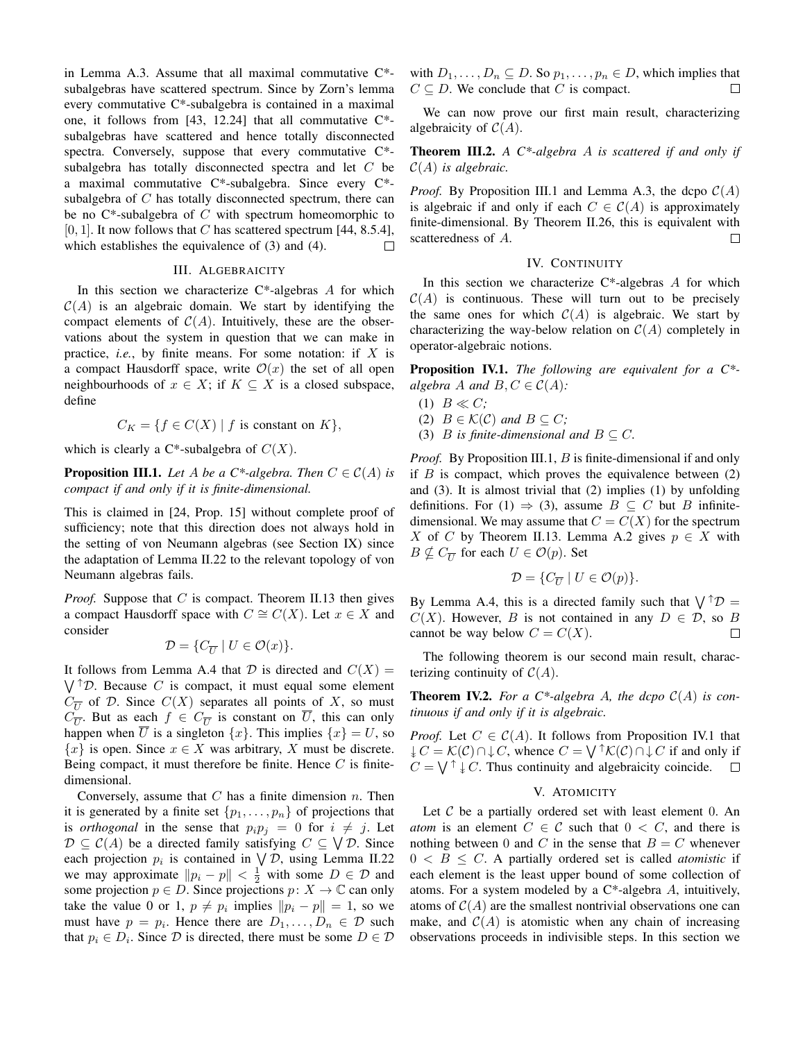in Lemma A.3. Assume that all maximal commutative C\* subalgebras have scattered spectrum. Since by Zorn's lemma every commutative C\*-subalgebra is contained in a maximal one, it follows from [43, 12.24] that all commutative  $C^*$ subalgebras have scattered and hence totally disconnected spectra. Conversely, suppose that every commutative C\* subalgebra has totally disconnected spectra and let C be a maximal commutative C\*-subalgebra. Since every C\* subalgebra of C has totally disconnected spectrum, there can be no  $C^*$ -subalgebra of  $C$  with spectrum homeomorphic to [0, 1]. It now follows that C has scattered spectrum [44, 8.5.4], which establishes the equivalence of (3) and (4).  $\Box$ 

## III. ALGEBRAICITY

In this section we characterize  $C^*$ -algebras A for which  $C(A)$  is an algebraic domain. We start by identifying the compact elements of  $C(A)$ . Intuitively, these are the observations about the system in question that we can make in practice, *i.e.*, by finite means. For some notation: if X is a compact Hausdorff space, write  $\mathcal{O}(x)$  the set of all open neighbourhoods of  $x \in X$ ; if  $K \subseteq X$  is a closed subspace, define

$$
C_K = \{ f \in C(X) \mid f \text{ is constant on } K \},
$$

which is clearly a  $C^*$ -subalgebra of  $C(X)$ .

**Proposition III.1.** Let A be a C\*-algebra. Then  $C \in \mathcal{C}(A)$  is *compact if and only if it is finite-dimensional.*

This is claimed in [24, Prop. 15] without complete proof of sufficiency; note that this direction does not always hold in the setting of von Neumann algebras (see Section IX) since the adaptation of Lemma II.22 to the relevant topology of von Neumann algebras fails.

*Proof.* Suppose that C is compact. Theorem II.13 then gives a compact Hausdorff space with  $C \cong C(X)$ . Let  $x \in X$  and consider

$$
\mathcal{D} = \{C_{\overline{U}} \mid U \in \mathcal{O}(x)\}.
$$

It follows from Lemma A.4 that  $D$  is directed and  $C(X) =$  $\bigvee$ <sup> $\uparrow$ </sup> $\mathcal{D}$ . Because C is compact, it must equal some element  $C_{\overline{U}}$  of D. Since  $C(X)$  separates all points of X, so must  $C_{\overline{U}}$ . But as each  $f \in C_{\overline{U}}$  is constant on U, this can only happen when  $\overline{U}$  is a singleton  $\{x\}$ . This implies  $\{x\} = U$ , so  ${x}$  is open. Since  $x \in X$  was arbitrary, X must be discrete. Being compact, it must therefore be finite. Hence  $C$  is finitedimensional.

Conversely, assume that  $C$  has a finite dimension  $n$ . Then it is generated by a finite set  $\{p_1, \ldots, p_n\}$  of projections that is *orthogonal* in the sense that  $p_i p_j = 0$  for  $i \neq j$ . Let  $\mathcal{D} \subseteq \mathcal{C}(A)$  be a directed family satisfying  $C \subseteq \bigvee \mathcal{D}$ . Since each projection  $p_i$  is contained in  $\bigvee \mathcal{D}$ , using Lemma II.22 we may approximate  $||p_i - p|| < \frac{1}{2}$  with some  $D \in \mathcal{D}$  and some projection  $p \in D$ . Since projections  $p: X \to \mathbb{C}$  can only take the value 0 or 1,  $p \neq p_i$  implies  $||p_i - p|| = 1$ , so we must have  $p = p_i$ . Hence there are  $D_1, \ldots, D_n \in \mathcal{D}$  such that  $p_i \in D_i$ . Since  $D$  is directed, there must be some  $D \in \mathcal{D}$ 

with  $D_1, \ldots, D_n \subseteq D$ . So  $p_1, \ldots, p_n \in D$ , which implies that  $C \subseteq D$ . We conclude that C is compact.  $\Box$ 

We can now prove our first main result, characterizing algebraicity of  $C(A)$ .

Theorem III.2. *A C\*-algebra* A *is scattered if and only if* C(A) *is algebraic.*

*Proof.* By Proposition III.1 and Lemma A.3, the dcpo  $C(A)$ is algebraic if and only if each  $C \in C(A)$  is approximately finite-dimensional. By Theorem II.26, this is equivalent with scatteredness of A.  $\Box$ 

# IV. CONTINUITY

In this section we characterize  $C^*$ -algebras A for which  $C(A)$  is continuous. These will turn out to be precisely the same ones for which  $C(A)$  is algebraic. We start by characterizing the way-below relation on  $C(A)$  completely in operator-algebraic notions.

Proposition IV.1. *The following are equivalent for a C\* algebra A and*  $B, C \in C(A)$ *:* 

- $(1)$   $B \ll C$ ;
- (2)  $B \in \mathcal{K}(\mathcal{C})$  *and*  $B \subseteq C$ ;
- (3) *B* is finite-dimensional and  $B \subseteq C$ .

*Proof.* By Proposition III.1, B is finite-dimensional if and only if  $B$  is compact, which proves the equivalence between  $(2)$ and (3). It is almost trivial that (2) implies (1) by unfolding definitions. For (1)  $\Rightarrow$  (3), assume  $B \subseteq C$  but B infinitedimensional. We may assume that  $C = C(X)$  for the spectrum X of C by Theorem II.13. Lemma A.2 gives  $p \in X$  with  $B \nsubseteq C_{\overline{U}}$  for each  $U \in \mathcal{O}(p)$ . Set

$$
\mathcal{D} = \{C_{\overline{U}} \mid U \in \mathcal{O}(p)\}.
$$

By Lemma A.4, this is a directed family such that  $\bigvee^{\uparrow} \mathcal{D} =$  $C(X)$ . However, B is not contained in any  $D \in \mathcal{D}$ , so B cannot be way below  $C = C(X)$ .  $\Box$ 

The following theorem is our second main result, characterizing continuity of  $C(A)$ .

**Theorem IV.2.** For a C\*-algebra A, the dcpo  $C(A)$  is con*tinuous if and only if it is algebraic.*

*Proof.* Let  $C \in C(A)$ . It follows from Proposition IV.1 that  $\downarrow C = \mathcal{K}(C) \cap \downarrow C$ , whence  $C = \bigvee^{\uparrow} \mathcal{K}(C) \cap \downarrow C$  if and only if  $C = \bigvee^{\uparrow} \downarrow C$ . Thus continuity and algebraicity coincide.

#### V. ATOMICITY

Let  $C$  be a partially ordered set with least element 0. An *atom* is an element  $C \in \mathcal{C}$  such that  $0 \lt C$ , and there is nothing between 0 and C in the sense that  $B = C$  whenever  $0 < B \le C$ . A partially ordered set is called *atomistic* if each element is the least upper bound of some collection of atoms. For a system modeled by a  $C^*$ -algebra A, intuitively, atoms of  $C(A)$  are the smallest nontrivial observations one can make, and  $C(A)$  is atomistic when any chain of increasing observations proceeds in indivisible steps. In this section we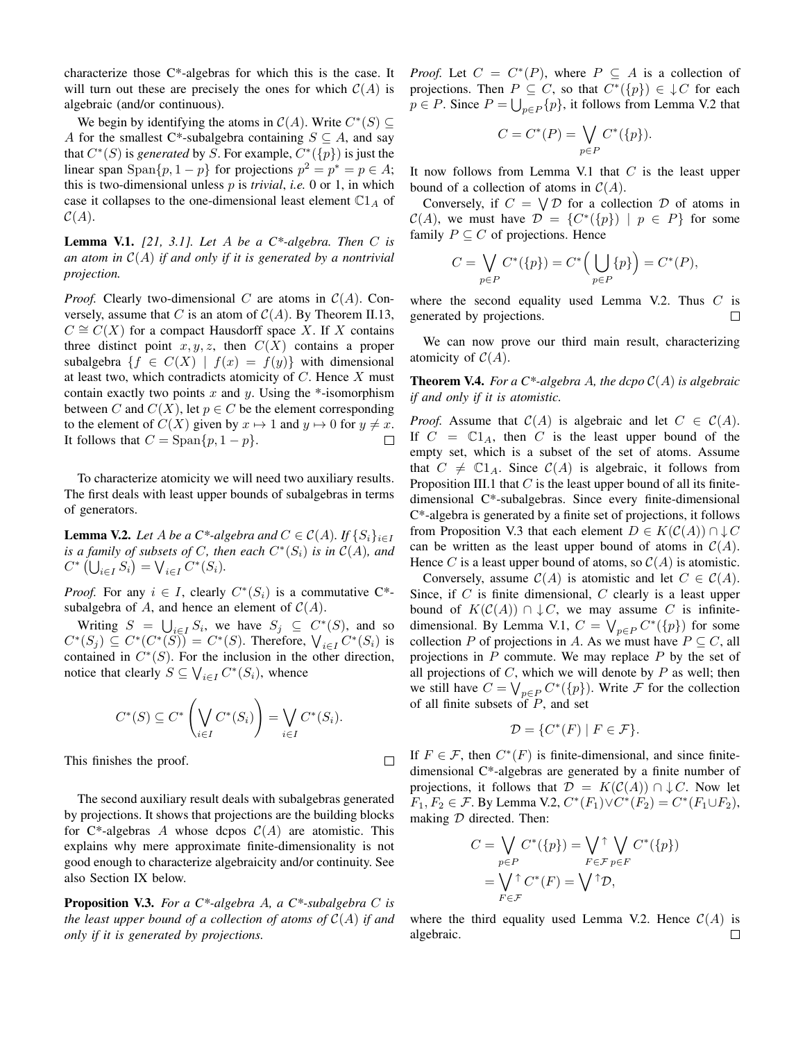characterize those C\*-algebras for which this is the case. It will turn out these are precisely the ones for which  $C(A)$  is algebraic (and/or continuous).

We begin by identifying the atoms in  $C(A)$ . Write  $C^*(S) \subseteq$ A for the smallest C\*-subalgebra containing  $S \subseteq A$ , and say that  $C^*(S)$  is *generated* by S. For example,  $C^*(\{p\})$  is just the linear span Span $\{p, 1-p\}$  for projections  $p^2 = p^* = p \in A$ ; this is two-dimensional unless p is *trivial*, *i.e.* 0 or 1, in which case it collapses to the one-dimensional least element  $\mathbb{C}1_A$  of  $C(A).$ 

Lemma V.1. *[21, 3.1]. Let* A *be a C\*-algebra. Then* C *is an atom in* C(A) *if and only if it is generated by a nontrivial projection.*

*Proof.* Clearly two-dimensional C are atoms in  $C(A)$ . Conversely, assume that C is an atom of  $C(A)$ . By Theorem II.13,  $C \cong C(X)$  for a compact Hausdorff space X. If X contains three distinct point  $x, y, z$ , then  $C(X)$  contains a proper subalgebra  $\{f \in C(X) \mid f(x) = f(y)\}$  with dimensional at least two, which contradicts atomicity of  $C$ . Hence  $X$  must contain exactly two points  $x$  and  $y$ . Using the  $*$ -isomorphism between C and  $C(X)$ , let  $p \in C$  be the element corresponding to the element of  $C(X)$  given by  $x \mapsto 1$  and  $y \mapsto 0$  for  $y \neq x$ . It follows that  $C = \text{Span}\{p, 1 - p\}.$  $\Box$ 

To characterize atomicity we will need two auxiliary results. The first deals with least upper bounds of subalgebras in terms of generators.

**Lemma V.2.** *Let* A *be a*  $C^*$ -algebra and  $C \in C(A)$ *.* If  $\{S_i\}_{i \in I}$ *is a family of subsets of* C, then each  $C^*(S_i)$  *is in*  $C(A)$ *, and*  $C^*$   $(\bigcup_{i \in I} S_i) = \bigvee_{i \in I} C^*(S_i).$ 

*Proof.* For any  $i \in I$ , clearly  $C^*(S_i)$  is a commutative  $C^*$ subalgebra of A, and hence an element of  $C(A)$ .

Writing  $S = \bigcup_{i \in I} S_i$ , we have  $S_j \subseteq C^*(S)$ , and so  $C^*(S_j) \subseteq C^*(C^*(\check{S})) = C^*(S)$ . Therefore,  $\bigvee_{i \in I} C^*(S_i)$  is contained in  $C^*(S)$ . For the inclusion in the other direction, notice that clearly  $S \subseteq \bigvee_{i \in I} C^*(S_i)$ , whence

$$
C^*(S) \subseteq C^* \left(\bigvee_{i \in I} C^*(S_i)\right) = \bigvee_{i \in I} C^*(S_i).
$$

 $\Box$ 

This finishes the proof.

The second auxiliary result deals with subalgebras generated by projections. It shows that projections are the building blocks for  $C^*$ -algebras A whose dcpos  $C(A)$  are atomistic. This explains why mere approximate finite-dimensionality is not good enough to characterize algebraicity and/or continuity. See also Section IX below.

Proposition V.3. *For a C\*-algebra* A*, a C\*-subalgebra* C *is the least upper bound of a collection of atoms of*  $C(A)$  *if and only if it is generated by projections.*

*Proof.* Let  $C = C^*(P)$ , where  $P \subseteq A$  is a collection of projections. Then  $P \subseteq C$ , so that  $C^*(\{p\}) \in \mathcal{P}$  for each  $p \in P$ . Since  $P = \bigcup_{p \in P} \{p\}$ , it follows from Lemma V.2 that

$$
C = C^*(P) = \bigvee_{p \in P} C^*(\{p\}).
$$

It now follows from Lemma V.1 that  $C$  is the least upper bound of a collection of atoms in  $C(A)$ .

Conversely, if  $C = \bigvee \mathcal{D}$  for a collection  $\mathcal{D}$  of atoms in  $\mathcal{C}(A)$ , we must have  $\mathcal{D} = \{C^*(\{p\}) \mid p \in P\}$  for some family  $P \subseteq C$  of projections. Hence

$$
C = \bigvee_{p \in P} C^*(\{p\}) = C^*\Big(\bigcup_{p \in P} \{p\}\Big) = C^*(P),
$$

where the second equality used Lemma V.2. Thus  $C$  is generated by projections.  $\Box$ 

We can now prove our third main result, characterizing atomicity of  $C(A)$ .

**Theorem V.4.** For a  $C^*$ -algebra A, the dcpo  $C(A)$  is algebraic *if and only if it is atomistic.*

*Proof.* Assume that  $C(A)$  is algebraic and let  $C \in C(A)$ . If  $C = \mathbb{C}1_A$ , then C is the least upper bound of the empty set, which is a subset of the set of atoms. Assume that  $C \neq \mathbb{C}1_A$ . Since  $\mathcal{C}(A)$  is algebraic, it follows from Proposition III.1 that  $C$  is the least upper bound of all its finitedimensional C\*-subalgebras. Since every finite-dimensional C\*-algebra is generated by a finite set of projections, it follows from Proposition V.3 that each element  $D \in K(C(A)) \cap \downarrow C$ can be written as the least upper bound of atoms in  $C(A)$ . Hence C is a least upper bound of atoms, so  $C(A)$  is atomistic.

Conversely, assume  $C(A)$  is atomistic and let  $C \in C(A)$ . Since, if  $C$  is finite dimensional,  $C$  clearly is a least upper bound of  $K(\mathcal{C}(A)) \cap \downarrow C$ , we may assume C is infinitedimensional. By Lemma V.1,  $C = \bigvee_{p \in P} C^*(\{p\})$  for some collection P of projections in A. As we must have  $P \subseteq C$ , all projections in  $P$  commute. We may replace  $P$  by the set of all projections of  $C$ , which we will denote by  $P$  as well; then we still have  $C = \bigvee_{p \in P} C^*(\{p\})$ . Write  $\mathcal F$  for the collection of all finite subsets of  $P$ , and set

$$
\mathcal{D} = \{ C^*(F) \mid F \in \mathcal{F} \}.
$$

If  $F \in \mathcal{F}$ , then  $C^*(F)$  is finite-dimensional, and since finitedimensional C\*-algebras are generated by a finite number of projections, it follows that  $\mathcal{D} = K(\mathcal{C}(A)) \cap \downarrow C$ . Now let  $F_1, F_2 \in \mathcal{F}$ . By Lemma V.2,  $C^*(F_1) \vee C^*(F_2) = C^*(F_1 \cup F_2)$ , making  $D$  directed. Then:

$$
C = \bigvee_{p \in P} C^*(\{p\}) = \bigvee_{F \in \mathcal{F}} \bigvee_{p \in F} C^*(\{p\})
$$

$$
= \bigvee_{F \in \mathcal{F}} \uparrow C^*(F) = \bigvee \uparrow \mathcal{D},
$$

$$
F \in \mathcal{F}
$$

where the third equality used Lemma V.2. Hence  $C(A)$  is algebraic. $\Box$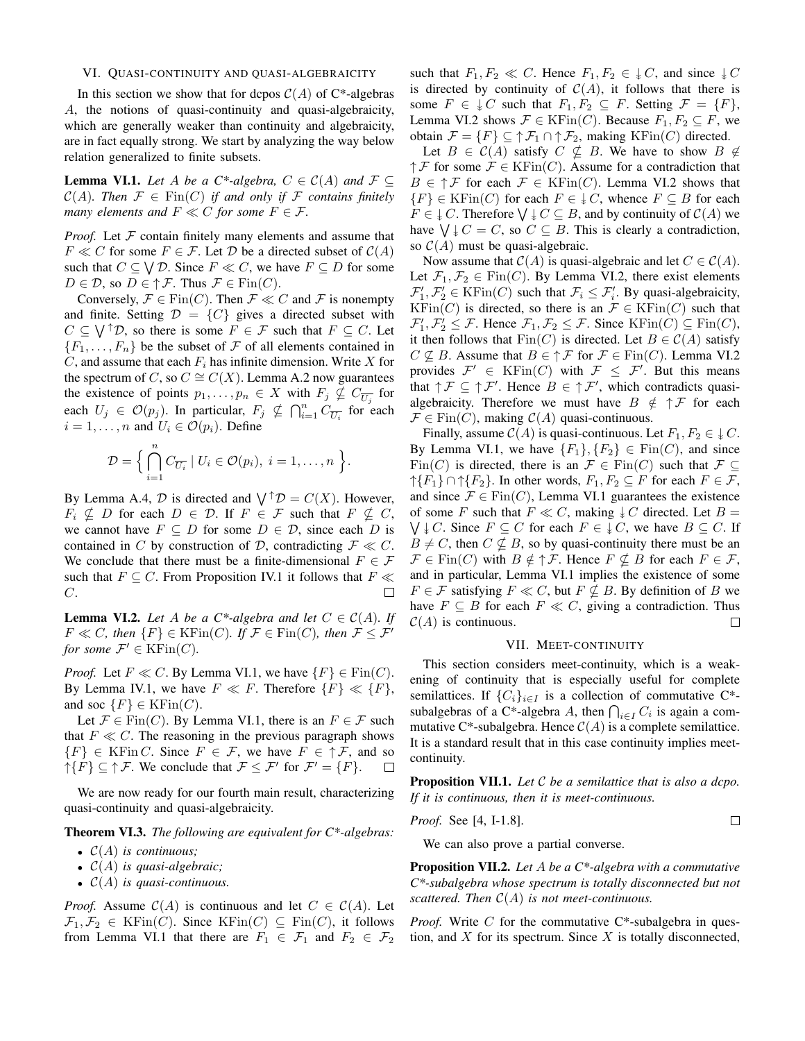## VI. QUASI-CONTINUITY AND QUASI-ALGEBRAICITY

In this section we show that for dcpos  $C(A)$  of C\*-algebras A, the notions of quasi-continuity and quasi-algebraicity, which are generally weaker than continuity and algebraicity, are in fact equally strong. We start by analyzing the way below relation generalized to finite subsets.

**Lemma VI.1.** *Let* A *be a C\*-algebra,*  $C \in C(A)$  *and*  $\mathcal{F} \subseteq$  $C(A)$ *. Then*  $\mathcal{F} \in \text{Fin}(C)$  *if and only if*  $\mathcal{F}$  *contains finitely many elements and*  $F \ll C$  *for some*  $F \in \mathcal{F}$ *.* 

*Proof.* Let  $F$  contain finitely many elements and assume that  $F \ll C$  for some  $F \in \mathcal{F}$ . Let  $\mathcal{D}$  be a directed subset of  $\mathcal{C}(A)$ such that  $C \subseteq \bigvee \mathcal{D}$ . Since  $F \ll C$ , we have  $F \subseteq D$  for some  $D \in \mathcal{D}$ , so  $D \in \uparrow \mathcal{F}$ . Thus  $\mathcal{F} \in \text{Fin}(C)$ .

Conversely,  $\mathcal{F} \in \text{Fin}(C)$ . Then  $\mathcal{F} \ll C$  and  $\mathcal{F}$  is nonempty and finite. Setting  $\mathcal{D} = \{C\}$  gives a directed subset with  $C \subseteq \bigvee^{\uparrow} \mathcal{D}$ , so there is some  $F \in \mathcal{F}$  such that  $F \subseteq C$ . Let  ${F_1, \ldots, F_n}$  be the subset of F of all elements contained in  $C$ , and assume that each  $F_i$  has infinite dimension. Write  $X$  for the spectrum of C, so  $C \cong C(X)$ . Lemma A.2 now guarantees the existence of points  $p_1, \ldots, p_n \in X$  with  $F_j \nsubseteq C_{\overline{U_j}}$  for each  $U_j \in \mathcal{O}(p_j)$ . In particular,  $F_j \nsubseteq \bigcap_{i=1}^n C_{\overline{U_i}}$  for each  $i = 1, \ldots, n$  and  $U_i \in \mathcal{O}(p_i)$ . Define

$$
\mathcal{D} = \Big\{\bigcap_{i=1}^n C_{\overline{U_i}} \mid U_i \in \mathcal{O}(p_i), i = 1,\ldots,n\Big\}.
$$

By Lemma A.4,  $\mathcal D$  is directed and  $\bigvee^{\uparrow} \mathcal D = C(X)$ . However,  $F_i \nsubseteq D$  for each  $D \in \mathcal{D}$ . If  $F \in \mathcal{F}$  such that  $F \nsubseteq C$ , we cannot have  $F \subseteq D$  for some  $D \in \mathcal{D}$ , since each D is contained in C by construction of D, contradicting  $\mathcal{F} \ll C$ . We conclude that there must be a finite-dimensional  $F \in \mathcal{F}$ such that  $F \subseteq C$ . From Proposition IV.1 it follows that  $F \ll$  $\Box$ C.

**Lemma VI.2.** *Let* A *be a*  $C^*$ -algebra and let  $C \in C(A)$ *. If*  $F \ll C$ *, then*  $\{F\} \in \text{KFin}(C)$ *. If*  $\mathcal{F} \in \text{Fin}(C)$ *, then*  $\mathcal{F} \leq \mathcal{F}'$ *for some*  $\mathcal{F}' \in \mathrm{KFin}(C)$ *.* 

*Proof.* Let  $F \ll C$ . By Lemma VI.1, we have  $\{F\} \in \text{Fin}(C)$ . By Lemma IV.1, we have  $F \ll F$ . Therefore  $\{F\} \ll \{F\}$ , and soc  $\{F\} \in {\rm KFin}(C)$ .

Let  $\mathcal{F} \in \text{Fin}(C)$ . By Lemma VI.1, there is an  $F \in \mathcal{F}$  such that  $F \ll C$ . The reasoning in the previous paragraph shows  ${F} \in K\text{Fin } C$ . Since  $F \in \mathcal{F}$ , we have  $F \in \uparrow \mathcal{F}$ , and so  $\uparrow \{F\} \subseteq \uparrow \mathcal{F}$ . We conclude that  $\mathcal{F} \leq \mathcal{F}'$  for  $\mathcal{F}' = \{F\}$ .

We are now ready for our fourth main result, characterizing quasi-continuity and quasi-algebraicity.

Theorem VI.3. *The following are equivalent for C\*-algebras:*

- C(A) *is continuous;*
- C(A) *is quasi-algebraic;*
- C(A) *is quasi-continuous.*

*Proof.* Assume  $C(A)$  is continuous and let  $C \in C(A)$ . Let  $\mathcal{F}_1, \mathcal{F}_2 \in \text{KFin}(C)$ . Since  $\text{KFin}(C) \subseteq \text{Fin}(C)$ , it follows from Lemma VI.1 that there are  $F_1 \in \mathcal{F}_1$  and  $F_2 \in \mathcal{F}_2$ 

such that  $F_1, F_2 \ll C$ . Hence  $F_1, F_2 \in \downarrow C$ , and since  $\downarrow C$ is directed by continuity of  $C(A)$ , it follows that there is some  $F \in \downarrow C$  such that  $F_1, F_2 \subseteq F$ . Setting  $\mathcal{F} = \{F\},\$ Lemma VI.2 shows  $\mathcal{F} \in \text{KFin}(C)$ . Because  $F_1, F_2 \subseteq F$ , we obtain  $\mathcal{F} = \{F\} \subseteq \uparrow \mathcal{F}_1 \cap \uparrow \mathcal{F}_2$ , making KFin $(C)$  directed.

Let  $B \in \mathcal{C}(A)$  satisfy  $C \nsubseteq B$ . We have to show  $B \nsubseteq$  $\uparrow \mathcal{F}$  for some  $\mathcal{F} \in \mathrm{KFin}(C)$ . Assume for a contradiction that  $B \in \mathcal{F}$  for each  $\mathcal{F} \in \mathrm{KFin}(C)$ . Lemma VI.2 shows that  ${F} \in KFin(C)$  for each  $F \in \downarrow C$ , whence  $F \subseteq B$  for each  $F \in \mathcal{F} \subset \mathcal{C}$ . Therefore  $\bigvee \mathcal{F} \subseteq B$ , and by continuity of  $\mathcal{C}(A)$  we have  $\bigvee \downarrow C = C$ , so  $C \subseteq B$ . This is clearly a contradiction, so  $C(A)$  must be quasi-algebraic.

Now assume that  $C(A)$  is quasi-algebraic and let  $C \in C(A)$ . Let  $\mathcal{F}_1, \mathcal{F}_2 \in \text{Fin}(C)$ . By Lemma VI.2, there exist elements  $\mathcal{F}'_1, \mathcal{F}'_2 \in \text{KFin}(C)$  such that  $\mathcal{F}_i \leq \mathcal{F}'_i$ . By quasi-algebraicity,  $KFin(C)$  is directed, so there is an  $\mathcal{F} \in KFin(C)$  such that  $\mathcal{F}_1', \mathcal{F}_2' \leq \mathcal{F}$ . Hence  $\mathcal{F}_1, \mathcal{F}_2 \leq \mathcal{F}$ . Since  $\text{KFin}(C) \subseteq \text{Fin}(C)$ , it then follows that  $Fin(C)$  is directed. Let  $B \in C(A)$  satisfy  $C \nsubseteq B$ . Assume that  $B \in \uparrow \mathcal{F}$  for  $\mathcal{F} \in \text{Fin}(C)$ . Lemma VI.2 provides  $\mathcal{F}' \in \mathrm{KFin}(C)$  with  $\mathcal{F} \leq \mathcal{F}'$ . But this means that  $\uparrow \mathcal{F} \subseteq \uparrow \mathcal{F}'$ . Hence  $B \in \uparrow \mathcal{F}'$ , which contradicts quasialgebraicity. Therefore we must have  $B \notin \uparrow \mathcal{F}$  for each  $\mathcal{F} \in \text{Fin}(C)$ , making  $\mathcal{C}(A)$  quasi-continuous.

Finally, assume  $C(A)$  is quasi-continuous. Let  $F_1, F_2 \in \mathcal{F}C$ . By Lemma VI.1, we have  ${F_1}, {F_2} \in \text{Fin}(C)$ , and since Fin(C) is directed, there is an  $\mathcal{F} \in \text{Fin}(C)$  such that  $\mathcal{F} \subseteq$  $\uparrow$ { $F_1$ }  $\cap \uparrow$ { $F_2$ }. In other words,  $F_1, F_2 \subseteq F$  for each  $F \in \mathcal{F}$ , and since  $\mathcal{F} \in \text{Fin}(C)$ , Lemma VI.1 guarantees the existence of some F such that  $F \ll C$ , making  $\downarrow C$  directed. Let  $B =$  $\bigvee \downarrow C$ . Since  $F \subseteq C$  for each  $F \in \downarrow C$ , we have  $B \subseteq C$ . If  $B \neq C$ , then  $C \nsubseteq B$ , so by quasi-continuity there must be an  $\mathcal{F} \in \text{Fin}(C)$  with  $B \notin \uparrow \mathcal{F}$ . Hence  $F \nsubseteq B$  for each  $F \in \mathcal{F}$ , and in particular, Lemma VI.1 implies the existence of some  $F \in \mathcal{F}$  satisfying  $F \ll C$ , but  $F \nsubseteq B$ . By definition of B we have  $F \subseteq B$  for each  $F \ll C$ , giving a contradiction. Thus  $C(A)$  is continuous.  $\Box$ 

#### VII. MEET-CONTINUITY

This section considers meet-continuity, which is a weakening of continuity that is especially useful for complete semilattices. If  $\{C_i\}_{i\in I}$  is a collection of commutative C<sup>\*</sup>subalgebras of a C<sup>\*</sup>-algebra A, then  $\bigcap_{i \in I} C_i$  is again a commutative C<sup>\*</sup>-subalgebra. Hence  $C(A)$  is a complete semilattice. It is a standard result that in this case continuity implies meetcontinuity.

Proposition VII.1. *Let* C *be a semilattice that is also a dcpo. If it is continuous, then it is meet-continuous.*

 $\Box$ 

*Proof.* See [4, I-1.8].

We can also prove a partial converse.

Proposition VII.2. *Let* A *be a C\*-algebra with a commutative C\*-subalgebra whose spectrum is totally disconnected but not scattered. Then* C(A) *is not meet-continuous.*

*Proof.* Write C for the commutative C\*-subalgebra in question, and  $X$  for its spectrum. Since  $X$  is totally disconnected,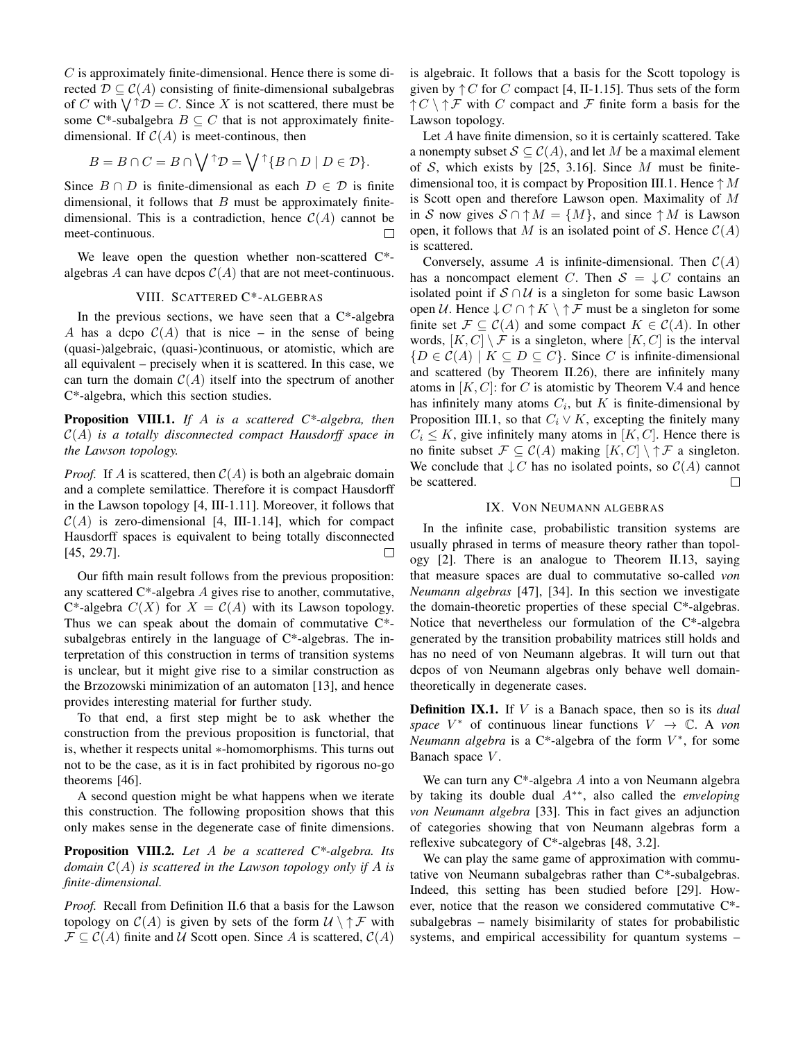$C$  is approximately finite-dimensional. Hence there is some directed  $\mathcal{D} \subset \mathcal{C}(A)$  consisting of finite-dimensional subalgebras of C with  $\bigvee^{\uparrow} \mathcal{D} = C$ . Since X is not scattered, there must be some C\*-subalgebra  $B \subseteq C$  that is not approximately finitedimensional. If  $C(A)$  is meet-continous, then

$$
B = B \cap C = B \cap \bigvee{}^{\uparrow} \mathcal{D} = \bigvee{}^{\uparrow} \{ B \cap D \mid D \in \mathcal{D} \}.
$$

Since  $B \cap D$  is finite-dimensional as each  $D \in \mathcal{D}$  is finite dimensional, it follows that  $B$  must be approximately finitedimensional. This is a contradiction, hence  $C(A)$  cannot be meet-continuous.  $\Box$ 

We leave open the question whether non-scattered C\* algebras A can have dcpos  $C(A)$  that are not meet-continuous.

## VIII. SCATTERED C\*-ALGEBRAS

In the previous sections, we have seen that a  $C^*$ -algebra A has a dcpo  $C(A)$  that is nice – in the sense of being (quasi-)algebraic, (quasi-)continuous, or atomistic, which are all equivalent – precisely when it is scattered. In this case, we can turn the domain  $C(A)$  itself into the spectrum of another C\*-algebra, which this section studies.

Proposition VIII.1. *If* A *is a scattered C\*-algebra, then* C(A) *is a totally disconnected compact Hausdorff space in the Lawson topology.*

*Proof.* If A is scattered, then  $C(A)$  is both an algebraic domain and a complete semilattice. Therefore it is compact Hausdorff in the Lawson topology [4, III-1.11]. Moreover, it follows that  $C(A)$  is zero-dimensional [4, III-1.14], which for compact Hausdorff spaces is equivalent to being totally disconnected [45, 29.7].  $\Box$ 

Our fifth main result follows from the previous proposition: any scattered  $C^*$ -algebra  $A$  gives rise to another, commutative, C\*-algebra  $C(X)$  for  $X = C(A)$  with its Lawson topology. Thus we can speak about the domain of commutative  $C^*$ subalgebras entirely in the language of  $C^*$ -algebras. The interpretation of this construction in terms of transition systems is unclear, but it might give rise to a similar construction as the Brzozowski minimization of an automaton [13], and hence provides interesting material for further study.

To that end, a first step might be to ask whether the construction from the previous proposition is functorial, that is, whether it respects unital ∗-homomorphisms. This turns out not to be the case, as it is in fact prohibited by rigorous no-go theorems [46].

A second question might be what happens when we iterate this construction. The following proposition shows that this only makes sense in the degenerate case of finite dimensions.

Proposition VIII.2. *Let* A *be a scattered C\*-algebra. Its domain* C(A) *is scattered in the Lawson topology only if* A *is finite-dimensional.*

*Proof.* Recall from Definition II.6 that a basis for the Lawson topology on  $C(A)$  is given by sets of the form  $U \setminus \uparrow \mathcal{F}$  with  $\mathcal{F} \subset \mathcal{C}(A)$  finite and U Scott open. Since A is scattered,  $\mathcal{C}(A)$  is algebraic. It follows that a basis for the Scott topology is given by  $\uparrow C$  for C compact [4, II-1.15]. Thus sets of the form  $\uparrow C \setminus \uparrow \mathcal{F}$  with C compact and F finite form a basis for the Lawson topology.

Let A have finite dimension, so it is certainly scattered. Take a nonempty subset  $S \subseteq C(A)$ , and let M be a maximal element of S, which exists by [25, 3.16]. Since  $M$  must be finitedimensional too, it is compact by Proposition III.1. Hence  $\uparrow M$ is Scott open and therefore Lawson open. Maximality of M in S now gives  $S \cap \uparrow M = \{M\}$ , and since  $\uparrow M$  is Lawson open, it follows that M is an isolated point of S. Hence  $C(A)$ is scattered.

Conversely, assume A is infinite-dimensional. Then  $C(A)$ has a noncompact element C. Then  $S = \downarrow C$  contains an isolated point if  $S \cap U$  is a singleton for some basic Lawson open  $U$ . Hence  $\downarrow$   $C \cap \uparrow K \setminus \uparrow \mathcal{F}$  must be a singleton for some finite set  $\mathcal{F} \subseteq \mathcal{C}(A)$  and some compact  $K \in \mathcal{C}(A)$ . In other words,  $[K, C] \setminus \mathcal{F}$  is a singleton, where  $[K, C]$  is the interval  ${D \in C(A) \mid K \subseteq D \subseteq C}$ . Since C is infinite-dimensional and scattered (by Theorem II.26), there are infinitely many atoms in  $[K, C]$ : for C is atomistic by Theorem V.4 and hence has infinitely many atoms  $C_i$ , but K is finite-dimensional by Proposition III.1, so that  $C_i \vee K$ , excepting the finitely many  $C_i \leq K$ , give infinitely many atoms in [K, C]. Hence there is no finite subset  $\mathcal{F} \subseteq \mathcal{C}(A)$  making  $[K, C] \setminus \uparrow \mathcal{F}$  a singleton. We conclude that  $\downarrow$  C has no isolated points, so  $\mathcal{C}(A)$  cannot be scattered.  $\Box$ 

# IX. VON NEUMANN ALGEBRAS

In the infinite case, probabilistic transition systems are usually phrased in terms of measure theory rather than topology [2]. There is an analogue to Theorem II.13, saying that measure spaces are dual to commutative so-called *von Neumann algebras* [47], [34]. In this section we investigate the domain-theoretic properties of these special C\*-algebras. Notice that nevertheless our formulation of the C\*-algebra generated by the transition probability matrices still holds and has no need of von Neumann algebras. It will turn out that dcpos of von Neumann algebras only behave well domaintheoretically in degenerate cases.

Definition IX.1. If V is a Banach space, then so is its *dual space*  $V^*$  of continuous linear functions  $V \rightarrow \mathbb{C}$ . A *von Neumann algebra* is a  $C^*$ -algebra of the form  $V^*$ , for some Banach space V.

We can turn any  $C^*$ -algebra A into a von Neumann algebra by taking its double dual A∗∗, also called the *enveloping von Neumann algebra* [33]. This in fact gives an adjunction of categories showing that von Neumann algebras form a reflexive subcategory of C\*-algebras [48, 3.2].

We can play the same game of approximation with commutative von Neumann subalgebras rather than C\*-subalgebras. Indeed, this setting has been studied before [29]. However, notice that the reason we considered commutative C\* subalgebras – namely bisimilarity of states for probabilistic systems, and empirical accessibility for quantum systems –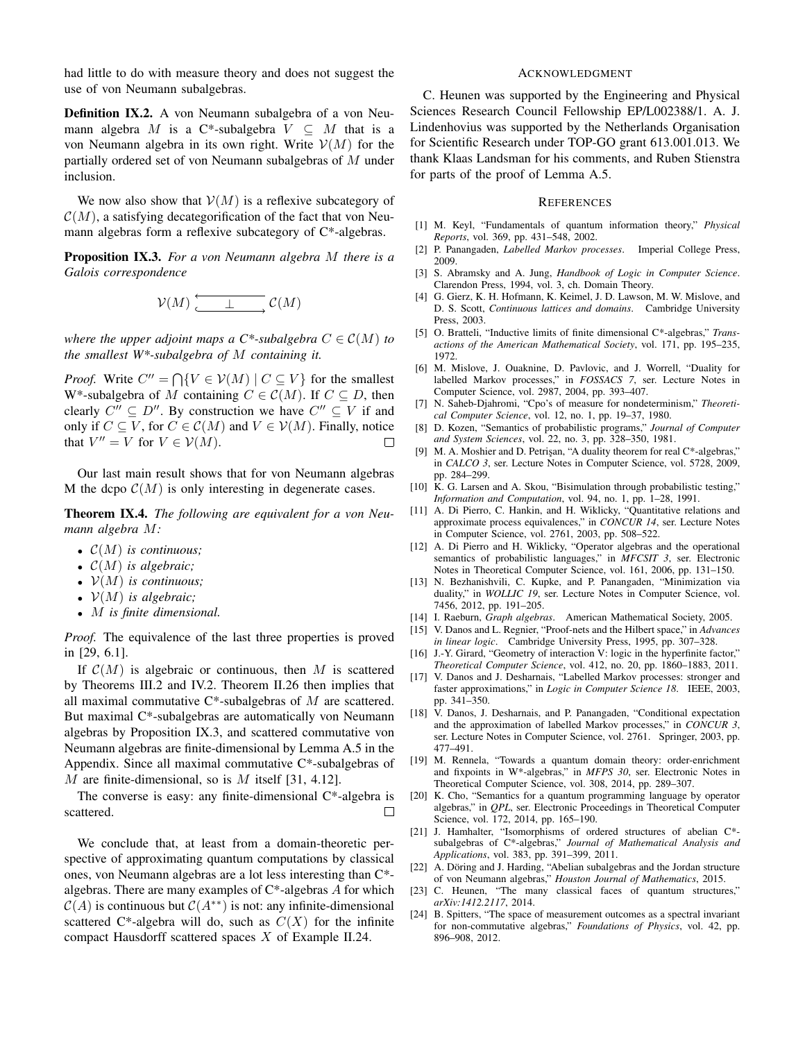had little to do with measure theory and does not suggest the use of von Neumann subalgebras.

Definition IX.2. A von Neumann subalgebra of a von Neumann algebra M is a C\*-subalgebra  $V \subseteq M$  that is a von Neumann algebra in its own right. Write  $V(M)$  for the partially ordered set of von Neumann subalgebras of M under inclusion.

We now also show that  $V(M)$  is a reflexive subcategory of  $\mathcal{C}(M)$ , a satisfying decategorification of the fact that von Neumann algebras form a reflexive subcategory of C\*-algebras.

Proposition IX.3. *For a von Neumann algebra* M *there is a Galois correspondence*

$$
\mathcal{V}(M)\xrightarrow{\longleftarrow} \mathcal{L}(M)
$$

*where the upper adjoint maps a C\*-subalgebra*  $C \in \mathcal{C}(M)$  *to the smallest W\*-subalgebra of* M *containing it.*

*Proof.* Write  $C'' = \bigcap \{ V \in V(M) \mid C \subseteq V \}$  for the smallest W<sup>\*</sup>-subalgebra of M containing  $C \in \mathcal{C}(M)$ . If  $C \subseteq D$ , then clearly  $C'' \subseteq D''$ . By construction we have  $C'' \subseteq V$  if and only if  $C \subseteq V$ , for  $C \in \mathcal{C}(M)$  and  $V \in \mathcal{V}(M)$ . Finally, notice that  $V'' = V$  for  $V \in \mathcal{V}(M)$ .  $\Box$ 

Our last main result shows that for von Neumann algebras M the dcpo  $C(M)$  is only interesting in degenerate cases.

Theorem IX.4. *The following are equivalent for a von Neumann algebra* M*:*

- C(M) *is continuous;*
- C(M) *is algebraic;*
- V(M) *is continuous;*
- V(M) *is algebraic;*
- M *is finite dimensional.*

*Proof.* The equivalence of the last three properties is proved in [29, 6.1].

If  $C(M)$  is algebraic or continuous, then M is scattered by Theorems III.2 and IV.2. Theorem II.26 then implies that all maximal commutative  $C^*$ -subalgebras of  $M$  are scattered. But maximal C\*-subalgebras are automatically von Neumann algebras by Proposition IX.3, and scattered commutative von Neumann algebras are finite-dimensional by Lemma A.5 in the Appendix. Since all maximal commutative C\*-subalgebras of M are finite-dimensional, so is M itself [31, 4.12].

The converse is easy: any finite-dimensional  $C^*$ -algebra is scattered.  $\Box$ 

We conclude that, at least from a domain-theoretic perspective of approximating quantum computations by classical ones, von Neumann algebras are a lot less interesting than C\* algebras. There are many examples of  $C^*$ -algebras A for which  $C(A)$  is continuous but  $C(A^{**})$  is not: any infinite-dimensional scattered  $C^*$ -algebra will do, such as  $C(X)$  for the infinite compact Hausdorff scattered spaces X of Example II.24.

## ACKNOWLEDGMENT

C. Heunen was supported by the Engineering and Physical Sciences Research Council Fellowship EP/L002388/1. A. J. Lindenhovius was supported by the Netherlands Organisation for Scientific Research under TOP-GO grant 613.001.013. We thank Klaas Landsman for his comments, and Ruben Stienstra for parts of the proof of Lemma A.5.

#### **REFERENCES**

- [1] M. Keyl, "Fundamentals of quantum information theory," *Physical Reports*, vol. 369, pp. 431–548, 2002.
- [2] P. Panangaden, *Labelled Markov processes*. Imperial College Press, 2009.
- [3] S. Abramsky and A. Jung, *Handbook of Logic in Computer Science*. Clarendon Press, 1994, vol. 3, ch. Domain Theory.
- [4] G. Gierz, K. H. Hofmann, K. Keimel, J. D. Lawson, M. W. Mislove, and D. S. Scott, *Continuous lattices and domains*. Cambridge University Press, 2003.
- [5] O. Bratteli, "Inductive limits of finite dimensional C\*-algebras," *Transactions of the American Mathematical Society*, vol. 171, pp. 195–235, 1972.
- [6] M. Mislove, J. Ouaknine, D. Pavlovic, and J. Worrell, "Duality for labelled Markov processes," in *FOSSACS 7*, ser. Lecture Notes in Computer Science, vol. 2987, 2004, pp. 393–407.
- [7] N. Saheb-Djahromi, "Cpo's of measure for nondeterminism," *Theoretical Computer Science*, vol. 12, no. 1, pp. 19–37, 1980.
- [8] D. Kozen, "Semantics of probabilistic programs," *Journal of Computer and System Sciences*, vol. 22, no. 3, pp. 328–350, 1981.
- [9] M. A. Moshier and D. Petrisan, "A duality theorem for real C\*-algebras," in *CALCO 3*, ser. Lecture Notes in Computer Science, vol. 5728, 2009, pp. 284–299.
- [10]  $\overrightarrow{K}$ . G. Larsen and A. Skou, "Bisimulation through probabilistic testing," *Information and Computation*, vol. 94, no. 1, pp. 1–28, 1991.
- [11] A. Di Pierro, C. Hankin, and H. Wiklicky, "Quantitative relations and approximate process equivalences," in *CONCUR 14*, ser. Lecture Notes in Computer Science, vol. 2761, 2003, pp. 508–522.
- [12] A. Di Pierro and H. Wiklicky, "Operator algebras and the operational semantics of probabilistic languages," in *MFCSIT 3*, ser. Electronic Notes in Theoretical Computer Science, vol. 161, 2006, pp. 131–150.
- [13] N. Bezhanishvili, C. Kupke, and P. Panangaden, "Minimization via duality," in *WOLLIC 19*, ser. Lecture Notes in Computer Science, vol. 7456, 2012, pp. 191–205.
- [14] I. Raeburn, *Graph algebras*. American Mathematical Society, 2005.
- [15] V. Danos and L. Regnier, "Proof-nets and the Hilbert space," in *Advances in linear logic*. Cambridge University Press, 1995, pp. 307–328.
- [16] J.-Y. Girard, "Geometry of interaction V: logic in the hyperfinite factor," *Theoretical Computer Science*, vol. 412, no. 20, pp. 1860–1883, 2011.
- [17] V. Danos and J. Desharnais, "Labelled Markov processes: stronger and faster approximations," in *Logic in Computer Science 18*. IEEE, 2003, pp. 341–350.
- [18] V. Danos, J. Desharnais, and P. Panangaden, "Conditional expectation and the approximation of labelled Markov processes," in *CONCUR 3*, ser. Lecture Notes in Computer Science, vol. 2761. Springer, 2003, pp. 477–491.
- [19] M. Rennela, "Towards a quantum domain theory: order-enrichment and fixpoints in W\*-algebras," in *MFPS 30*, ser. Electronic Notes in Theoretical Computer Science, vol. 308, 2014, pp. 289–307.
- [20] K. Cho, "Semantics for a quantum programming language by operator algebras," in *QPL*, ser. Electronic Proceedings in Theoretical Computer Science, vol. 172, 2014, pp. 165–190.
- [21] J. Hamhalter, "Isomorphisms of ordered structures of abelian C\* subalgebras of C\*-algebras," *Journal of Mathematical Analysis and Applications*, vol. 383, pp. 391–399, 2011.
- [22] A. Döring and J. Harding, "Abelian subalgebras and the Jordan structure of von Neumann algebras," *Houston Journal of Mathematics*, 2015.
- [23] C. Heunen, "The many classical faces of quantum structures," *arXiv:1412.2117*, 2014.
- [24] B. Spitters, "The space of measurement outcomes as a spectral invariant for non-commutative algebras," *Foundations of Physics*, vol. 42, pp. 896–908, 2012.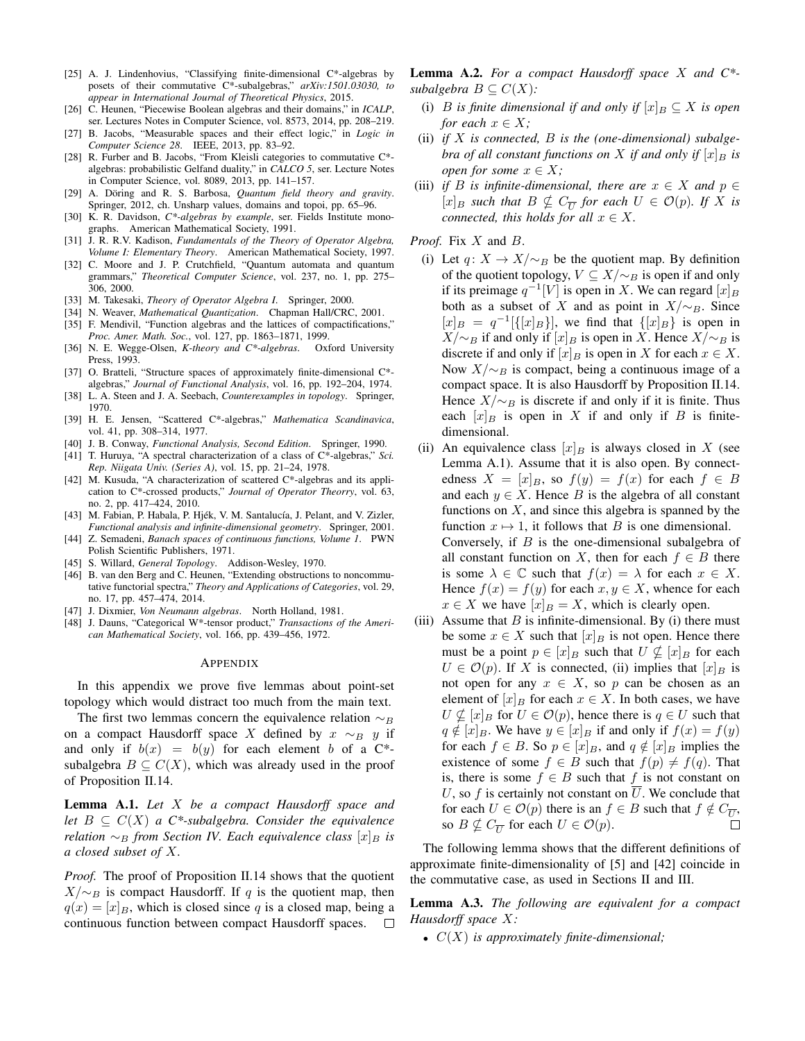- [25] A. J. Lindenhovius, "Classifying finite-dimensional C\*-algebras by posets of their commutative C\*-subalgebras," *arXiv:1501.03030, to appear in International Journal of Theoretical Physics*, 2015.
- [26] C. Heunen, "Piecewise Boolean algebras and their domains," in *ICALP*, ser. Lectures Notes in Computer Science, vol. 8573, 2014, pp. 208–219.
- [27] B. Jacobs, "Measurable spaces and their effect logic," in *Logic in Computer Science 28*. IEEE, 2013, pp. 83–92.
- [28] R. Furber and B. Jacobs, "From Kleisli categories to commutative C\* algebras: probabilistic Gelfand duality," in *CALCO 5*, ser. Lecture Notes in Computer Science, vol. 8089, 2013, pp. 141–157.
- [29] A. Döring and R. S. Barbosa, *Quantum field theory and gravity*. Springer, 2012, ch. Unsharp values, domains and topoi, pp. 65–96.
- [30] K. R. Davidson, *C\*-algebras by example*, ser. Fields Institute monographs. American Mathematical Society, 1991.
- [31] J. R. R.V. Kadison, *Fundamentals of the Theory of Operator Algebra, Volume I: Elementary Theory*. American Mathematical Society, 1997.
- [32] C. Moore and J. P. Crutchfield, "Quantum automata and quantum grammars," *Theoretical Computer Science*, vol. 237, no. 1, pp. 275– 306, 2000.
- [33] M. Takesaki, *Theory of Operator Algebra I*. Springer, 2000.
- [34] N. Weaver, *Mathematical Quantization*. Chapman Hall/CRC, 2001. [35] F. Mendivil, "Function algebras and the lattices of compactifications,"
- *Proc. Amer. Math. Soc.*, vol. 127, pp. 1863–1871, 1999. [36] N. E. Wegge-Olsen, *K-theory and C\*-algebras*. Oxford University Press, 1993.
- [37] O. Bratteli, "Structure spaces of approximately finite-dimensional C\* algebras," *Journal of Functional Analysis*, vol. 16, pp. 192–204, 1974.
- [38] L. A. Steen and J. A. Seebach, *Counterexamples in topology*. Springer, 1970.
- [39] H. E. Jensen, "Scattered C\*-algebras," *Mathematica Scandinavica*, vol. 41, pp. 308–314, 1977.
- [40] J. B. Conway, *Functional Analysis, Second Edition*. Springer, 1990.
- [41] T. Huruya, "A spectral characterization of a class of C\*-algebras," *Sci. Rep. Niigata Univ. (Series A)*, vol. 15, pp. 21–24, 1978.
- [42] M. Kusuda, "A characterization of scattered C\*-algebras and its application to C\*-crossed products," *Journal of Operator Theorry*, vol. 63, no. 2, pp. 417–424, 2010.
- [43] M. Fabian, P. Habala, P. Hjék, V. M. Santalucía, J. Pelant, and V. Zizler, *Functional analysis and infinite-dimensional geometry*. Springer, 2001.
- [44] Z. Semadeni, *Banach spaces of continuous functions, Volume 1*. PWN Polish Scientific Publishers, 1971.
- [45] S. Willard, *General Topology*. Addison-Wesley, 1970.
- [46] B. van den Berg and C. Heunen, "Extending obstructions to noncommutative functorial spectra," *Theory and Applications of Categories*, vol. 29, no. 17, pp. 457–474, 2014.
- [47] J. Dixmier, *Von Neumann algebras*. North Holland, 1981.
- [48] J. Dauns, "Categorical W\*-tensor product," *Transactions of the American Mathematical Society*, vol. 166, pp. 439–456, 1972.

## APPENDIX

In this appendix we prove five lemmas about point-set topology which would distract too much from the main text.

The first two lemmas concern the equivalence relation  $\sim_B$ on a compact Hausdorff space X defined by  $x \sim_B y$  if and only if  $b(x) = b(y)$  for each element b of a C<sup>\*</sup>subalgebra  $B \subseteq C(X)$ , which was already used in the proof of Proposition II.14.

Lemma A.1. *Let* X *be a compact Hausdorff space and let*  $B \subseteq C(X)$  *a*  $C^*$ -subalgebra. Consider the equivalence *relation*  $\sim_B$  *from Section IV. Each equivalence class*  $[x]_B$  *is a closed subset of* X*.*

*Proof.* The proof of Proposition II.14 shows that the quotient  $X/\sim_B$  is compact Hausdorff. If q is the quotient map, then  $q(x) = [x]_B$ , which is closed since q is a closed map, being a continuous function between compact Hausdorff spaces.  $\Box$ 

Lemma A.2. *For a compact Hausdorff space* X *and C\* subalgebra*  $B \subseteq C(X)$ *:* 

- (i) *B is finite dimensional if and only if*  $[x]_B \subseteq X$  *is open for each*  $x \in X$ *;*
- (ii) *if* X *is connected,* B *is the (one-dimensional) subalgebra of all constant functions on* X *if and only if*  $[x]_B$  *is open for some*  $x \in X$ ;
- (iii) *if* B is infinite-dimensional, there are  $x \in X$  and  $p \in Y$  $[x]_B$  *such that*  $B \nsubseteq C_{\overline{U}}$  *for each*  $U \in \mathcal{O}(p)$ *. If*  $\overline{X}$  *is connected, this holds for all*  $x \in X$ .
- *Proof.* Fix X and B.
	- (i) Let  $q: X \to X/\sim_B$  be the quotient map. By definition of the quotient topology,  $V \subseteq X/\sim_B$  is open if and only if its preimage  $q^{-1}[V]$  is open in X. We can regard  $[x]_B$ both as a subset of X and as point in  $X/\sim_B$ . Since  $[x]_B = q^{-1}[\{[x]_B\}]$ , we find that  $\{[x]_B\}$  is open in  $X/\sim_B$  if and only if  $[x]_B$  is open in X. Hence  $X/\sim_B$  is discrete if and only if  $[x]_B$  is open in X for each  $x \in X$ . Now  $X/\sim_B$  is compact, being a continuous image of a compact space. It is also Hausdorff by Proposition II.14. Hence  $X/\sim_B$  is discrete if and only if it is finite. Thus each  $[x]_B$  is open in X if and only if B is finitedimensional.
	- (ii) An equivalence class  $[x]_B$  is always closed in X (see Lemma A.1). Assume that it is also open. By connectedness  $X = [x]_B$ , so  $f(y) = f(x)$  for each  $f \in B$ and each  $y \in X$ . Hence B is the algebra of all constant functions on  $X$ , and since this algebra is spanned by the function  $x \mapsto 1$ , it follows that B is one dimensional. Conversely, if  $B$  is the one-dimensional subalgebra of all constant function on X, then for each  $f \in B$  there is some  $\lambda \in \mathbb{C}$  such that  $f(x) = \lambda$  for each  $x \in X$ . Hence  $f(x) = f(y)$  for each  $x, y \in X$ , whence for each  $x \in X$  we have  $[x]_B = X$ , which is clearly open.
- (iii) Assume that  $B$  is infinite-dimensional. By (i) there must be some  $x \in X$  such that  $[x]_B$  is not open. Hence there must be a point  $p \in [x]_B$  such that  $U \nsubseteq [x]_B$  for each  $U \in \mathcal{O}(p)$ . If X is connected, (ii) implies that  $[x]_B$  is not open for any  $x \in X$ , so p can be chosen as an element of  $[x]_B$  for each  $x \in X$ . In both cases, we have  $U \nsubseteq [x]_B$  for  $U \in \mathcal{O}(p)$ , hence there is  $q \in U$  such that  $q \notin [x]_B$ . We have  $y \in [x]_B$  if and only if  $f(x) = f(y)$ for each  $f \in B$ . So  $p \in [x]_B$ , and  $q \notin [x]_B$  implies the existence of some  $f \in B$  such that  $f(p) \neq f(q)$ . That is, there is some  $f \in B$  such that f is not constant on U, so f is certainly not constant on  $\overline{U}$ . We conclude that for each  $U \in \mathcal{O}(p)$  there is an  $f \in B$  such that  $f \notin C_{\overline{U}}$ , so  $B \nsubseteq C_{\overline{U}}$  for each  $U \in \mathcal{O}(p)$ .

The following lemma shows that the different definitions of approximate finite-dimensionality of [5] and [42] coincide in the commutative case, as used in Sections II and III.

Lemma A.3. *The following are equivalent for a compact Hausdorff space* X*:*

• C(X) *is approximately finite-dimensional;*